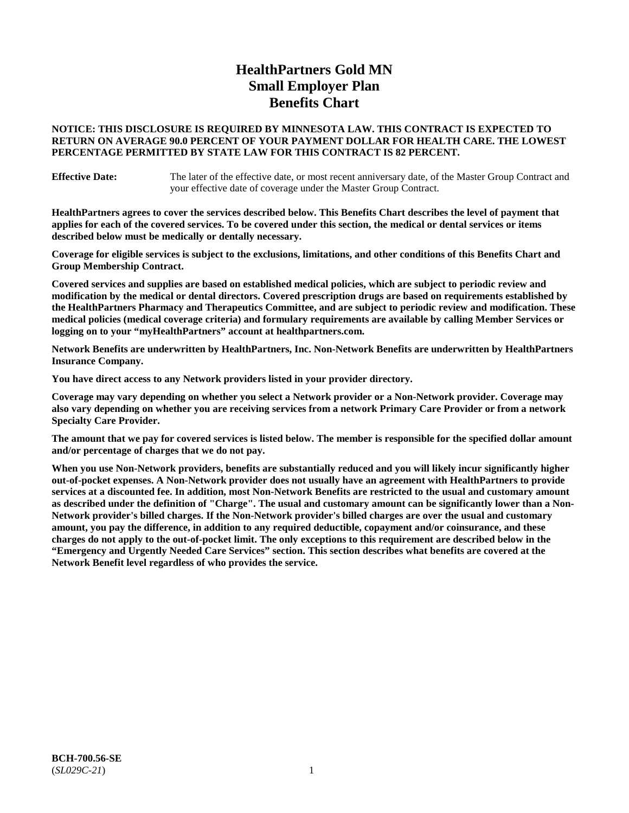# **HealthPartners Gold MN Small Employer Plan Benefits Chart**

## **NOTICE: THIS DISCLOSURE IS REQUIRED BY MINNESOTA LAW. THIS CONTRACT IS EXPECTED TO RETURN ON AVERAGE 90.0 PERCENT OF YOUR PAYMENT DOLLAR FOR HEALTH CARE. THE LOWEST PERCENTAGE PERMITTED BY STATE LAW FOR THIS CONTRACT IS 82 PERCENT.**

**Effective Date:** The later of the effective date, or most recent anniversary date, of the Master Group Contract and your effective date of coverage under the Master Group Contract.

**HealthPartners agrees to cover the services described below. This Benefits Chart describes the level of payment that applies for each of the covered services. To be covered under this section, the medical or dental services or items described below must be medically or dentally necessary.**

**Coverage for eligible services is subject to the exclusions, limitations, and other conditions of this Benefits Chart and Group Membership Contract.**

**Covered services and supplies are based on established medical policies, which are subject to periodic review and modification by the medical or dental directors. Covered prescription drugs are based on requirements established by the HealthPartners Pharmacy and Therapeutics Committee, and are subject to periodic review and modification. These medical policies (medical coverage criteria) and formulary requirements are available by calling Member Services or logging on to your "myHealthPartners" account at [healthpartners.com.](https://www.healthpartners.com/hp/index.html)**

**Network Benefits are underwritten by HealthPartners, Inc. Non-Network Benefits are underwritten by HealthPartners Insurance Company.** 

**You have direct access to any Network providers listed in your provider directory.**

**Coverage may vary depending on whether you select a Network provider or a Non-Network provider. Coverage may also vary depending on whether you are receiving services from a network Primary Care Provider or from a network Specialty Care Provider.**

**The amount that we pay for covered services is listed below. The member is responsible for the specified dollar amount and/or percentage of charges that we do not pay.**

**When you use Non-Network providers, benefits are substantially reduced and you will likely incur significantly higher out-of-pocket expenses. A Non-Network provider does not usually have an agreement with HealthPartners to provide services at a discounted fee. In addition, most Non-Network Benefits are restricted to the usual and customary amount as described under the definition of "Charge". The usual and customary amount can be significantly lower than a Non-Network provider's billed charges. If the Non-Network provider's billed charges are over the usual and customary amount, you pay the difference, in addition to any required deductible, copayment and/or coinsurance, and these charges do not apply to the out-of-pocket limit. The only exceptions to this requirement are described below in the "Emergency and Urgently Needed Care Services" section. This section describes what benefits are covered at the Network Benefit level regardless of who provides the service.**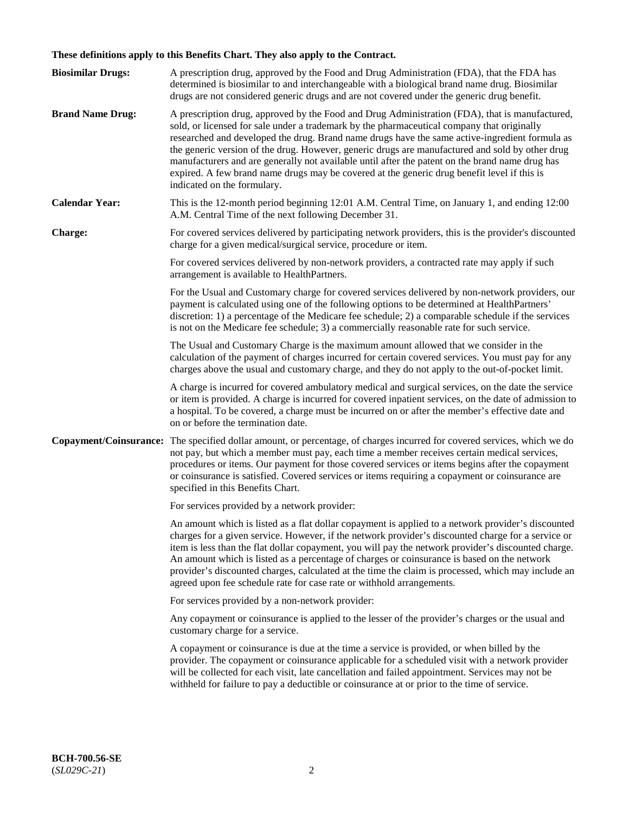# **These definitions apply to this Benefits Chart. They also apply to the Contract.**

| <b>Biosimilar Drugs:</b> | A prescription drug, approved by the Food and Drug Administration (FDA), that the FDA has<br>determined is biosimilar to and interchangeable with a biological brand name drug. Biosimilar<br>drugs are not considered generic drugs and are not covered under the generic drug benefit.                                                                                                                                                                                                                                                                                                                                           |
|--------------------------|------------------------------------------------------------------------------------------------------------------------------------------------------------------------------------------------------------------------------------------------------------------------------------------------------------------------------------------------------------------------------------------------------------------------------------------------------------------------------------------------------------------------------------------------------------------------------------------------------------------------------------|
| <b>Brand Name Drug:</b>  | A prescription drug, approved by the Food and Drug Administration (FDA), that is manufactured,<br>sold, or licensed for sale under a trademark by the pharmaceutical company that originally<br>researched and developed the drug. Brand name drugs have the same active-ingredient formula as<br>the generic version of the drug. However, generic drugs are manufactured and sold by other drug<br>manufacturers and are generally not available until after the patent on the brand name drug has<br>expired. A few brand name drugs may be covered at the generic drug benefit level if this is<br>indicated on the formulary. |
| <b>Calendar Year:</b>    | This is the 12-month period beginning 12:01 A.M. Central Time, on January 1, and ending 12:00<br>A.M. Central Time of the next following December 31.                                                                                                                                                                                                                                                                                                                                                                                                                                                                              |
| <b>Charge:</b>           | For covered services delivered by participating network providers, this is the provider's discounted<br>charge for a given medical/surgical service, procedure or item.                                                                                                                                                                                                                                                                                                                                                                                                                                                            |
|                          | For covered services delivered by non-network providers, a contracted rate may apply if such<br>arrangement is available to HealthPartners.                                                                                                                                                                                                                                                                                                                                                                                                                                                                                        |
|                          | For the Usual and Customary charge for covered services delivered by non-network providers, our<br>payment is calculated using one of the following options to be determined at HealthPartners'<br>discretion: 1) a percentage of the Medicare fee schedule; 2) a comparable schedule if the services<br>is not on the Medicare fee schedule; 3) a commercially reasonable rate for such service.                                                                                                                                                                                                                                  |
|                          | The Usual and Customary Charge is the maximum amount allowed that we consider in the<br>calculation of the payment of charges incurred for certain covered services. You must pay for any<br>charges above the usual and customary charge, and they do not apply to the out-of-pocket limit.                                                                                                                                                                                                                                                                                                                                       |
|                          | A charge is incurred for covered ambulatory medical and surgical services, on the date the service<br>or item is provided. A charge is incurred for covered inpatient services, on the date of admission to<br>a hospital. To be covered, a charge must be incurred on or after the member's effective date and<br>on or before the termination date.                                                                                                                                                                                                                                                                              |
| Copayment/Coinsurance:   | The specified dollar amount, or percentage, of charges incurred for covered services, which we do<br>not pay, but which a member must pay, each time a member receives certain medical services,<br>procedures or items. Our payment for those covered services or items begins after the copayment<br>or coinsurance is satisfied. Covered services or items requiring a copayment or coinsurance are<br>specified in this Benefits Chart.                                                                                                                                                                                        |
|                          | For services provided by a network provider:                                                                                                                                                                                                                                                                                                                                                                                                                                                                                                                                                                                       |
|                          | An amount which is listed as a flat dollar copayment is applied to a network provider's discounted<br>charges for a given service. However, if the network provider's discounted charge for a service or<br>item is less than the flat dollar copayment, you will pay the network provider's discounted charge.<br>An amount which is listed as a percentage of charges or coinsurance is based on the network<br>provider's discounted charges, calculated at the time the claim is processed, which may include an<br>agreed upon fee schedule rate for case rate or withhold arrangements.                                      |
|                          | For services provided by a non-network provider:                                                                                                                                                                                                                                                                                                                                                                                                                                                                                                                                                                                   |
|                          | Any copayment or coinsurance is applied to the lesser of the provider's charges or the usual and<br>customary charge for a service.                                                                                                                                                                                                                                                                                                                                                                                                                                                                                                |
|                          | A copayment or coinsurance is due at the time a service is provided, or when billed by the<br>provider. The copayment or coinsurance applicable for a scheduled visit with a network provider<br>will be collected for each visit, late cancellation and failed appointment. Services may not be<br>withheld for failure to pay a deductible or coinsurance at or prior to the time of service.                                                                                                                                                                                                                                    |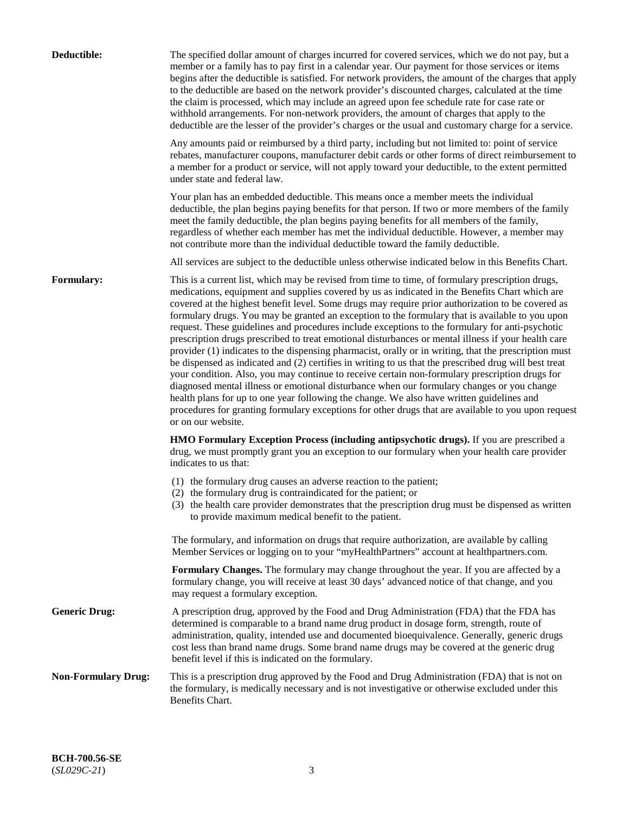| Deductible:                | The specified dollar amount of charges incurred for covered services, which we do not pay, but a<br>member or a family has to pay first in a calendar year. Our payment for those services or items<br>begins after the deductible is satisfied. For network providers, the amount of the charges that apply<br>to the deductible are based on the network provider's discounted charges, calculated at the time<br>the claim is processed, which may include an agreed upon fee schedule rate for case rate or<br>withhold arrangements. For non-network providers, the amount of charges that apply to the<br>deductible are the lesser of the provider's charges or the usual and customary charge for a service.                                                                                                                                                                                                                                                                                                                                                                                                                                                                                                                                             |
|----------------------------|------------------------------------------------------------------------------------------------------------------------------------------------------------------------------------------------------------------------------------------------------------------------------------------------------------------------------------------------------------------------------------------------------------------------------------------------------------------------------------------------------------------------------------------------------------------------------------------------------------------------------------------------------------------------------------------------------------------------------------------------------------------------------------------------------------------------------------------------------------------------------------------------------------------------------------------------------------------------------------------------------------------------------------------------------------------------------------------------------------------------------------------------------------------------------------------------------------------------------------------------------------------|
|                            | Any amounts paid or reimbursed by a third party, including but not limited to: point of service<br>rebates, manufacturer coupons, manufacturer debit cards or other forms of direct reimbursement to<br>a member for a product or service, will not apply toward your deductible, to the extent permitted<br>under state and federal law.                                                                                                                                                                                                                                                                                                                                                                                                                                                                                                                                                                                                                                                                                                                                                                                                                                                                                                                        |
|                            | Your plan has an embedded deductible. This means once a member meets the individual<br>deductible, the plan begins paying benefits for that person. If two or more members of the family<br>meet the family deductible, the plan begins paying benefits for all members of the family,<br>regardless of whether each member has met the individual deductible. However, a member may<br>not contribute more than the individual deductible toward the family deductible.                                                                                                                                                                                                                                                                                                                                                                                                                                                                                                                                                                                                                                                                                                                                                                                         |
|                            | All services are subject to the deductible unless otherwise indicated below in this Benefits Chart.                                                                                                                                                                                                                                                                                                                                                                                                                                                                                                                                                                                                                                                                                                                                                                                                                                                                                                                                                                                                                                                                                                                                                              |
| <b>Formulary:</b>          | This is a current list, which may be revised from time to time, of formulary prescription drugs,<br>medications, equipment and supplies covered by us as indicated in the Benefits Chart which are<br>covered at the highest benefit level. Some drugs may require prior authorization to be covered as<br>formulary drugs. You may be granted an exception to the formulary that is available to you upon<br>request. These guidelines and procedures include exceptions to the formulary for anti-psychotic<br>prescription drugs prescribed to treat emotional disturbances or mental illness if your health care<br>provider (1) indicates to the dispensing pharmacist, orally or in writing, that the prescription must<br>be dispensed as indicated and (2) certifies in writing to us that the prescribed drug will best treat<br>your condition. Also, you may continue to receive certain non-formulary prescription drugs for<br>diagnosed mental illness or emotional disturbance when our formulary changes or you change<br>health plans for up to one year following the change. We also have written guidelines and<br>procedures for granting formulary exceptions for other drugs that are available to you upon request<br>or on our website. |
|                            | <b>HMO Formulary Exception Process (including antipsychotic drugs).</b> If you are prescribed a<br>drug, we must promptly grant you an exception to our formulary when your health care provider<br>indicates to us that:                                                                                                                                                                                                                                                                                                                                                                                                                                                                                                                                                                                                                                                                                                                                                                                                                                                                                                                                                                                                                                        |
|                            | (1) the formulary drug causes an adverse reaction to the patient;<br>(2) the formulary drug is contraindicated for the patient; or<br>(3) the health care provider demonstrates that the prescription drug must be dispensed as written<br>to provide maximum medical benefit to the patient.                                                                                                                                                                                                                                                                                                                                                                                                                                                                                                                                                                                                                                                                                                                                                                                                                                                                                                                                                                    |
|                            | The formulary, and information on drugs that require authorization, are available by calling<br>Member Services or logging on to your "myHealthPartners" account at healthpartners.com.                                                                                                                                                                                                                                                                                                                                                                                                                                                                                                                                                                                                                                                                                                                                                                                                                                                                                                                                                                                                                                                                          |
|                            | Formulary Changes. The formulary may change throughout the year. If you are affected by a<br>formulary change, you will receive at least 30 days' advanced notice of that change, and you<br>may request a formulary exception.                                                                                                                                                                                                                                                                                                                                                                                                                                                                                                                                                                                                                                                                                                                                                                                                                                                                                                                                                                                                                                  |
| <b>Generic Drug:</b>       | A prescription drug, approved by the Food and Drug Administration (FDA) that the FDA has<br>determined is comparable to a brand name drug product in dosage form, strength, route of<br>administration, quality, intended use and documented bioequivalence. Generally, generic drugs<br>cost less than brand name drugs. Some brand name drugs may be covered at the generic drug<br>benefit level if this is indicated on the formulary.                                                                                                                                                                                                                                                                                                                                                                                                                                                                                                                                                                                                                                                                                                                                                                                                                       |
| <b>Non-Formulary Drug:</b> | This is a prescription drug approved by the Food and Drug Administration (FDA) that is not on<br>the formulary, is medically necessary and is not investigative or otherwise excluded under this<br>Benefits Chart.                                                                                                                                                                                                                                                                                                                                                                                                                                                                                                                                                                                                                                                                                                                                                                                                                                                                                                                                                                                                                                              |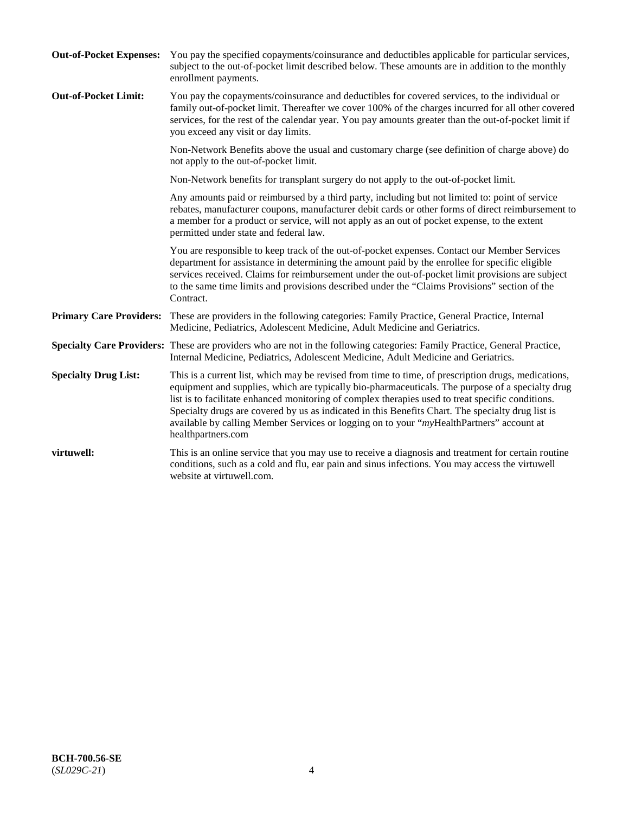| <b>Out-of-Pocket Expenses:</b> | You pay the specified copayments/coinsurance and deductibles applicable for particular services,<br>subject to the out-of-pocket limit described below. These amounts are in addition to the monthly<br>enrollment payments.                                                                                                                                                                                                                                                                                                        |
|--------------------------------|-------------------------------------------------------------------------------------------------------------------------------------------------------------------------------------------------------------------------------------------------------------------------------------------------------------------------------------------------------------------------------------------------------------------------------------------------------------------------------------------------------------------------------------|
| <b>Out-of-Pocket Limit:</b>    | You pay the copayments/coinsurance and deductibles for covered services, to the individual or<br>family out-of-pocket limit. Thereafter we cover 100% of the charges incurred for all other covered<br>services, for the rest of the calendar year. You pay amounts greater than the out-of-pocket limit if<br>you exceed any visit or day limits.                                                                                                                                                                                  |
|                                | Non-Network Benefits above the usual and customary charge (see definition of charge above) do<br>not apply to the out-of-pocket limit.                                                                                                                                                                                                                                                                                                                                                                                              |
|                                | Non-Network benefits for transplant surgery do not apply to the out-of-pocket limit.                                                                                                                                                                                                                                                                                                                                                                                                                                                |
|                                | Any amounts paid or reimbursed by a third party, including but not limited to: point of service<br>rebates, manufacturer coupons, manufacturer debit cards or other forms of direct reimbursement to<br>a member for a product or service, will not apply as an out of pocket expense, to the extent<br>permitted under state and federal law.                                                                                                                                                                                      |
|                                | You are responsible to keep track of the out-of-pocket expenses. Contact our Member Services<br>department for assistance in determining the amount paid by the enrollee for specific eligible<br>services received. Claims for reimbursement under the out-of-pocket limit provisions are subject<br>to the same time limits and provisions described under the "Claims Provisions" section of the<br>Contract.                                                                                                                    |
|                                | Primary Care Providers: These are providers in the following categories: Family Practice, General Practice, Internal<br>Medicine, Pediatrics, Adolescent Medicine, Adult Medicine and Geriatrics.                                                                                                                                                                                                                                                                                                                                   |
|                                | Specialty Care Providers: These are providers who are not in the following categories: Family Practice, General Practice,<br>Internal Medicine, Pediatrics, Adolescent Medicine, Adult Medicine and Geriatrics.                                                                                                                                                                                                                                                                                                                     |
| <b>Specialty Drug List:</b>    | This is a current list, which may be revised from time to time, of prescription drugs, medications,<br>equipment and supplies, which are typically bio-pharmaceuticals. The purpose of a specialty drug<br>list is to facilitate enhanced monitoring of complex therapies used to treat specific conditions.<br>Specialty drugs are covered by us as indicated in this Benefits Chart. The specialty drug list is<br>available by calling Member Services or logging on to your "myHealthPartners" account at<br>healthpartners.com |
| virtuwell:                     | This is an online service that you may use to receive a diagnosis and treatment for certain routine<br>conditions, such as a cold and flu, ear pain and sinus infections. You may access the virtuwell<br>website at virtuwell.com.                                                                                                                                                                                                                                                                                                 |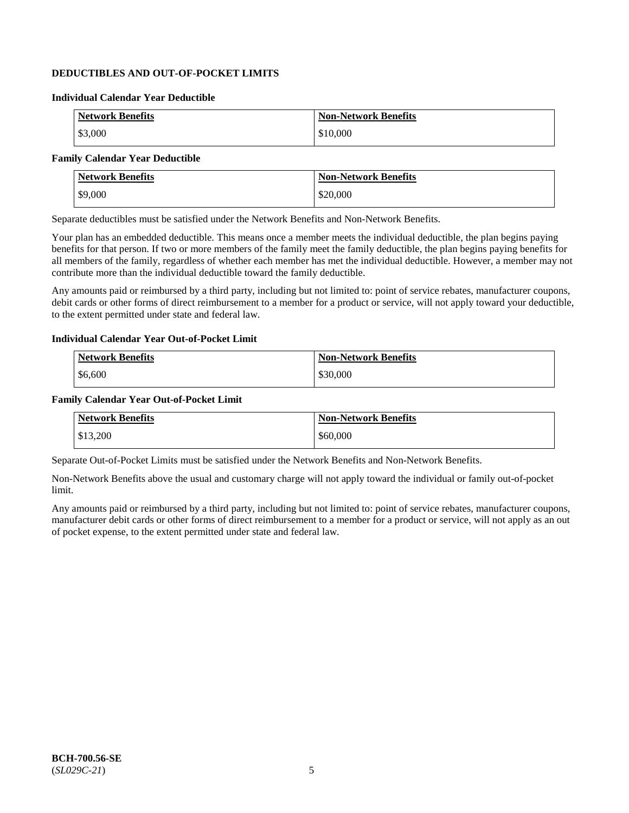## **DEDUCTIBLES AND OUT-OF-POCKET LIMITS**

### **Individual Calendar Year Deductible**

| <b>Network Benefits</b> | <b>Non-Network Benefits</b> |
|-------------------------|-----------------------------|
| \$3,000                 | \$10,000                    |

## **Family Calendar Year Deductible**

| <b>Network Benefits</b> | <b>Non-Network Benefits</b> |
|-------------------------|-----------------------------|
| \$9,000                 | \$20,000                    |

Separate deductibles must be satisfied under the Network Benefits and Non-Network Benefits.

Your plan has an embedded deductible. This means once a member meets the individual deductible, the plan begins paying benefits for that person. If two or more members of the family meet the family deductible, the plan begins paying benefits for all members of the family, regardless of whether each member has met the individual deductible. However, a member may not contribute more than the individual deductible toward the family deductible.

Any amounts paid or reimbursed by a third party, including but not limited to: point of service rebates, manufacturer coupons, debit cards or other forms of direct reimbursement to a member for a product or service, will not apply toward your deductible, to the extent permitted under state and federal law.

#### **Individual Calendar Year Out-of-Pocket Limit**

| <b>Network Benefits</b> | <b>Non-Network Benefits</b> |
|-------------------------|-----------------------------|
| \$6,600                 | \$30,000                    |

#### **Family Calendar Year Out-of-Pocket Limit**

| <b>Network Benefits</b> | <b>Non-Network Benefits</b> |
|-------------------------|-----------------------------|
| \$13,200                | \$60,000                    |

Separate Out-of-Pocket Limits must be satisfied under the Network Benefits and Non-Network Benefits.

Non-Network Benefits above the usual and customary charge will not apply toward the individual or family out-of-pocket limit.

Any amounts paid or reimbursed by a third party, including but not limited to: point of service rebates, manufacturer coupons, manufacturer debit cards or other forms of direct reimbursement to a member for a product or service, will not apply as an out of pocket expense, to the extent permitted under state and federal law.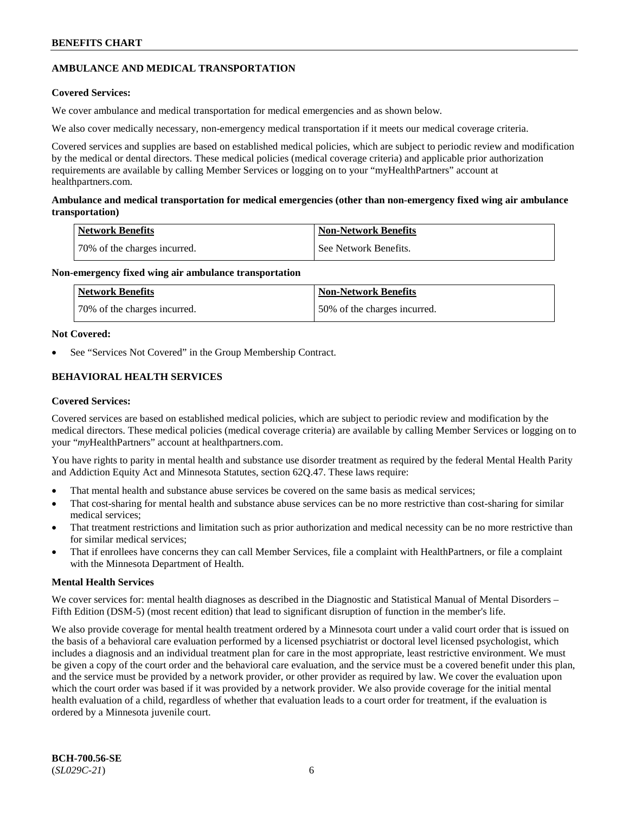## **AMBULANCE AND MEDICAL TRANSPORTATION**

## **Covered Services:**

We cover ambulance and medical transportation for medical emergencies and as shown below.

We also cover medically necessary, non-emergency medical transportation if it meets our medical coverage criteria.

Covered services and supplies are based on established medical policies, which are subject to periodic review and modification by the medical or dental directors. These medical policies (medical coverage criteria) and applicable prior authorization requirements are available by calling Member Services or logging on to your "myHealthPartners" account at [healthpartners.com.](https://www.healthpartners.com/hp/index.html)

## **Ambulance and medical transportation for medical emergencies (other than non-emergency fixed wing air ambulance transportation)**

| Network Benefits             | <b>Non-Network Benefits</b> |
|------------------------------|-----------------------------|
| 70% of the charges incurred. | See Network Benefits.       |

## **Non-emergency fixed wing air ambulance transportation**

| Network Benefits             | <b>Non-Network Benefits</b>  |
|------------------------------|------------------------------|
| 70% of the charges incurred. | 50% of the charges incurred. |

## **Not Covered:**

See "Services Not Covered" in the Group Membership Contract.

## **BEHAVIORAL HEALTH SERVICES**

## **Covered Services:**

Covered services are based on established medical policies, which are subject to periodic review and modification by the medical directors. These medical policies (medical coverage criteria) are available by calling Member Services or logging on to your "*my*HealthPartners" account at [healthpartners.com.](http://www.healthpartners.com/)

You have rights to parity in mental health and substance use disorder treatment as required by the federal Mental Health Parity and Addiction Equity Act and Minnesota Statutes, section 62Q.47. These laws require:

- That mental health and substance abuse services be covered on the same basis as medical services;
- That cost-sharing for mental health and substance abuse services can be no more restrictive than cost-sharing for similar medical services;
- That treatment restrictions and limitation such as prior authorization and medical necessity can be no more restrictive than for similar medical services;
- That if enrollees have concerns they can call Member Services, file a complaint with HealthPartners, or file a complaint with the Minnesota Department of Health.

## **Mental Health Services**

We cover services for: mental health diagnoses as described in the Diagnostic and Statistical Manual of Mental Disorders – Fifth Edition (DSM-5) (most recent edition) that lead to significant disruption of function in the member's life.

We also provide coverage for mental health treatment ordered by a Minnesota court under a valid court order that is issued on the basis of a behavioral care evaluation performed by a licensed psychiatrist or doctoral level licensed psychologist, which includes a diagnosis and an individual treatment plan for care in the most appropriate, least restrictive environment. We must be given a copy of the court order and the behavioral care evaluation, and the service must be a covered benefit under this plan, and the service must be provided by a network provider, or other provider as required by law. We cover the evaluation upon which the court order was based if it was provided by a network provider. We also provide coverage for the initial mental health evaluation of a child, regardless of whether that evaluation leads to a court order for treatment, if the evaluation is ordered by a Minnesota juvenile court.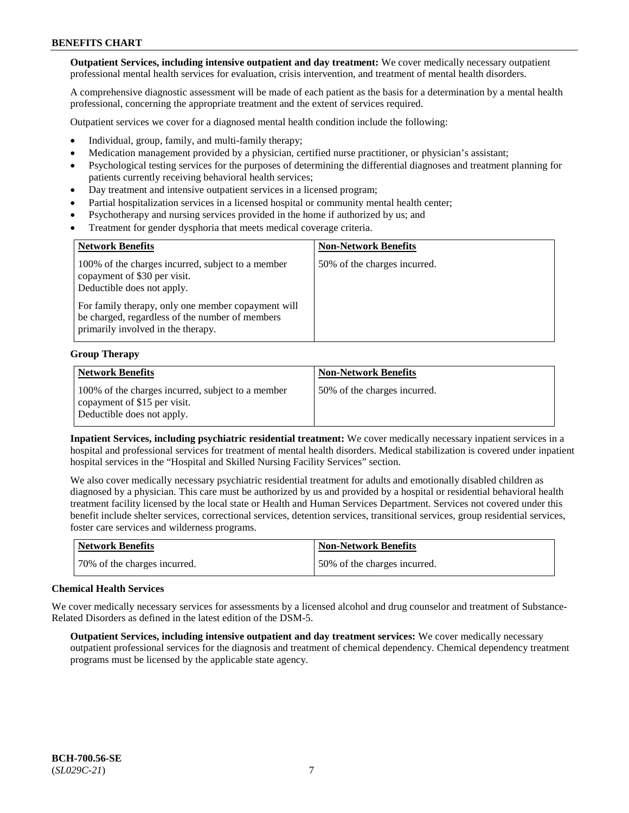**Outpatient Services, including intensive outpatient and day treatment:** We cover medically necessary outpatient professional mental health services for evaluation, crisis intervention, and treatment of mental health disorders.

A comprehensive diagnostic assessment will be made of each patient as the basis for a determination by a mental health professional, concerning the appropriate treatment and the extent of services required.

Outpatient services we cover for a diagnosed mental health condition include the following:

- Individual, group, family, and multi-family therapy;
- Medication management provided by a physician, certified nurse practitioner, or physician's assistant;
- Psychological testing services for the purposes of determining the differential diagnoses and treatment planning for patients currently receiving behavioral health services;
- Day treatment and intensive outpatient services in a licensed program;
- Partial hospitalization services in a licensed hospital or community mental health center;
- Psychotherapy and nursing services provided in the home if authorized by us; and
- Treatment for gender dysphoria that meets medical coverage criteria.

| <b>Network Benefits</b>                                                                                                                     | <b>Non-Network Benefits</b>  |
|---------------------------------------------------------------------------------------------------------------------------------------------|------------------------------|
| 100% of the charges incurred, subject to a member<br>copayment of \$30 per visit.<br>Deductible does not apply.                             | 50% of the charges incurred. |
| For family therapy, only one member copayment will<br>be charged, regardless of the number of members<br>primarily involved in the therapy. |                              |

#### **Group Therapy**

| Network Benefits                                                                                                | <b>Non-Network Benefits</b>  |
|-----------------------------------------------------------------------------------------------------------------|------------------------------|
| 100% of the charges incurred, subject to a member<br>copayment of \$15 per visit.<br>Deductible does not apply. | 50% of the charges incurred. |

**Inpatient Services, including psychiatric residential treatment:** We cover medically necessary inpatient services in a hospital and professional services for treatment of mental health disorders. Medical stabilization is covered under inpatient hospital services in the "Hospital and Skilled Nursing Facility Services" section.

We also cover medically necessary psychiatric residential treatment for adults and emotionally disabled children as diagnosed by a physician. This care must be authorized by us and provided by a hospital or residential behavioral health treatment facility licensed by the local state or Health and Human Services Department. Services not covered under this benefit include shelter services, correctional services, detention services, transitional services, group residential services, foster care services and wilderness programs.

| Network Benefits             | <b>Non-Network Benefits</b>  |
|------------------------------|------------------------------|
| 70% of the charges incurred. | 50% of the charges incurred. |

#### **Chemical Health Services**

We cover medically necessary services for assessments by a licensed alcohol and drug counselor and treatment of Substance-Related Disorders as defined in the latest edition of the DSM-5.

**Outpatient Services, including intensive outpatient and day treatment services:** We cover medically necessary outpatient professional services for the diagnosis and treatment of chemical dependency. Chemical dependency treatment programs must be licensed by the applicable state agency.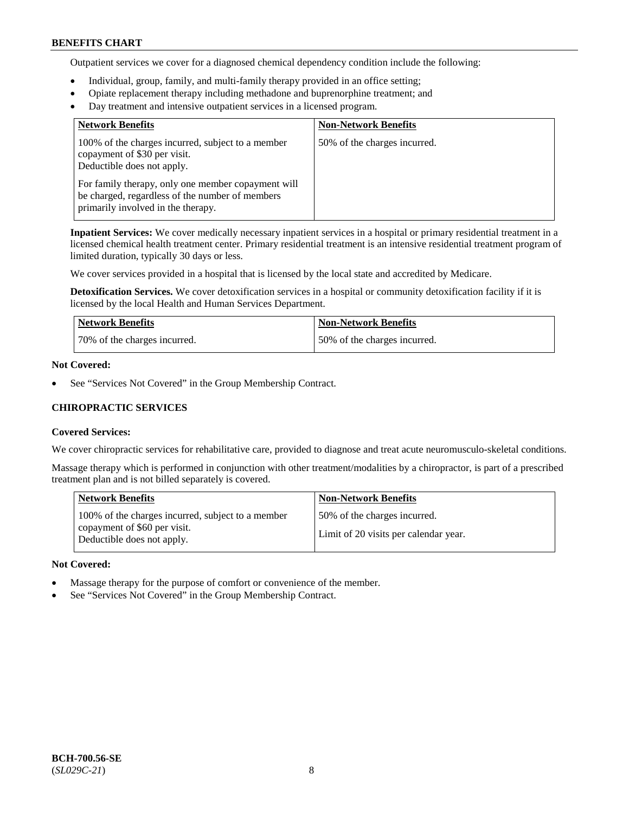Outpatient services we cover for a diagnosed chemical dependency condition include the following:

- Individual, group, family, and multi-family therapy provided in an office setting;
- Opiate replacement therapy including methadone and buprenorphine treatment; and
- Day treatment and intensive outpatient services in a licensed program.

| <b>Network Benefits</b>                                                                                                                     | <b>Non-Network Benefits</b>  |
|---------------------------------------------------------------------------------------------------------------------------------------------|------------------------------|
| 100% of the charges incurred, subject to a member<br>copayment of \$30 per visit.<br>Deductible does not apply.                             | 50% of the charges incurred. |
| For family therapy, only one member copayment will<br>be charged, regardless of the number of members<br>primarily involved in the therapy. |                              |

**Inpatient Services:** We cover medically necessary inpatient services in a hospital or primary residential treatment in a licensed chemical health treatment center. Primary residential treatment is an intensive residential treatment program of limited duration, typically 30 days or less.

We cover services provided in a hospital that is licensed by the local state and accredited by Medicare.

**Detoxification Services.** We cover detoxification services in a hospital or community detoxification facility if it is licensed by the local Health and Human Services Department.

| <b>Network Benefits</b>      | <b>Non-Network Benefits</b>  |
|------------------------------|------------------------------|
| 70% of the charges incurred. | 50% of the charges incurred. |

## **Not Covered:**

See "Services Not Covered" in the Group Membership Contract.

## **CHIROPRACTIC SERVICES**

#### **Covered Services:**

We cover chiropractic services for rehabilitative care, provided to diagnose and treat acute neuromusculo-skeletal conditions.

Massage therapy which is performed in conjunction with other treatment/modalities by a chiropractor, is part of a prescribed treatment plan and is not billed separately is covered.

| <b>Network Benefits</b>                                                                                         | <b>Non-Network Benefits</b>                                           |
|-----------------------------------------------------------------------------------------------------------------|-----------------------------------------------------------------------|
| 100% of the charges incurred, subject to a member<br>copayment of \$60 per visit.<br>Deductible does not apply. | 50% of the charges incurred.<br>Limit of 20 visits per calendar year. |

#### **Not Covered:**

- Massage therapy for the purpose of comfort or convenience of the member.
- See "Services Not Covered" in the Group Membership Contract.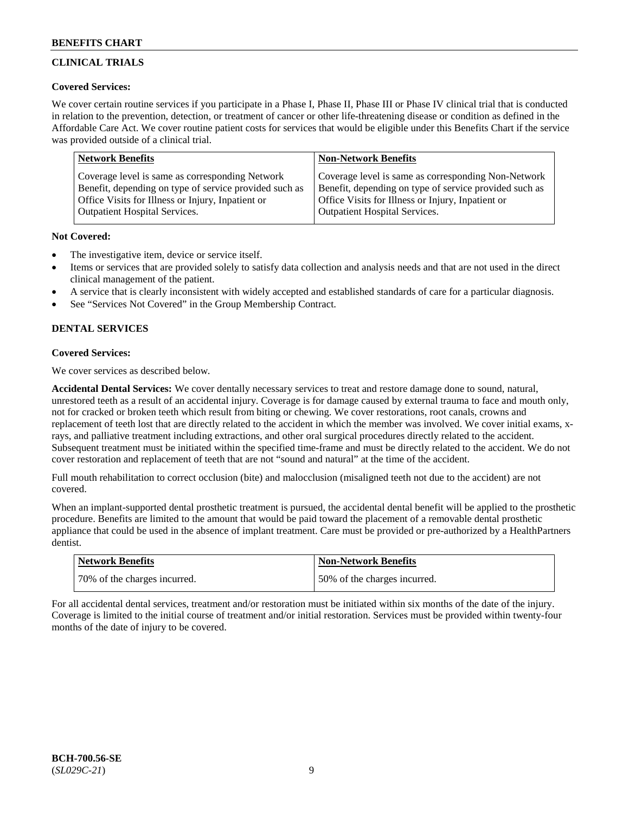## **CLINICAL TRIALS**

## **Covered Services:**

We cover certain routine services if you participate in a Phase I, Phase II, Phase III or Phase IV clinical trial that is conducted in relation to the prevention, detection, or treatment of cancer or other life-threatening disease or condition as defined in the Affordable Care Act. We cover routine patient costs for services that would be eligible under this Benefits Chart if the service was provided outside of a clinical trial.

| <b>Network Benefits</b>                                | <b>Non-Network Benefits</b>                            |
|--------------------------------------------------------|--------------------------------------------------------|
| Coverage level is same as corresponding Network        | Coverage level is same as corresponding Non-Network    |
| Benefit, depending on type of service provided such as | Benefit, depending on type of service provided such as |
| Office Visits for Illness or Injury, Inpatient or      | Office Visits for Illness or Injury, Inpatient or      |
| <b>Outpatient Hospital Services.</b>                   | Outpatient Hospital Services.                          |

## **Not Covered:**

- The investigative item, device or service itself.
- Items or services that are provided solely to satisfy data collection and analysis needs and that are not used in the direct clinical management of the patient.
- A service that is clearly inconsistent with widely accepted and established standards of care for a particular diagnosis.
- See "Services Not Covered" in the Group Membership Contract.

## **DENTAL SERVICES**

## **Covered Services:**

We cover services as described below.

**Accidental Dental Services:** We cover dentally necessary services to treat and restore damage done to sound, natural, unrestored teeth as a result of an accidental injury. Coverage is for damage caused by external trauma to face and mouth only, not for cracked or broken teeth which result from biting or chewing. We cover restorations, root canals, crowns and replacement of teeth lost that are directly related to the accident in which the member was involved. We cover initial exams, xrays, and palliative treatment including extractions, and other oral surgical procedures directly related to the accident. Subsequent treatment must be initiated within the specified time-frame and must be directly related to the accident. We do not cover restoration and replacement of teeth that are not "sound and natural" at the time of the accident.

Full mouth rehabilitation to correct occlusion (bite) and malocclusion (misaligned teeth not due to the accident) are not covered.

When an implant-supported dental prosthetic treatment is pursued, the accidental dental benefit will be applied to the prosthetic procedure. Benefits are limited to the amount that would be paid toward the placement of a removable dental prosthetic appliance that could be used in the absence of implant treatment. Care must be provided or pre-authorized by a HealthPartners dentist.

| <b>Network Benefits</b>      | <b>Non-Network Benefits</b>  |
|------------------------------|------------------------------|
| 70% of the charges incurred. | 50% of the charges incurred. |

For all accidental dental services, treatment and/or restoration must be initiated within six months of the date of the injury. Coverage is limited to the initial course of treatment and/or initial restoration. Services must be provided within twenty-four months of the date of injury to be covered.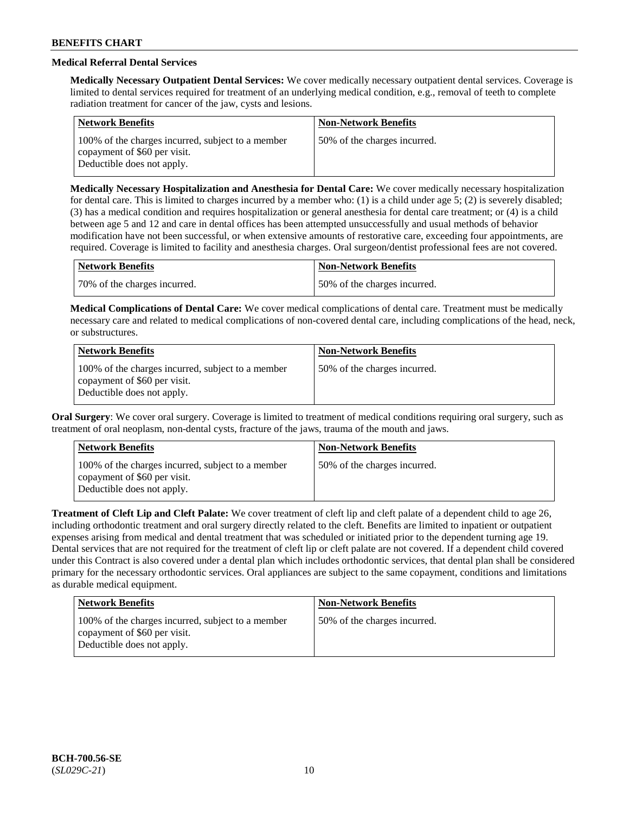## **Medical Referral Dental Services**

**Medically Necessary Outpatient Dental Services:** We cover medically necessary outpatient dental services. Coverage is limited to dental services required for treatment of an underlying medical condition, e.g., removal of teeth to complete radiation treatment for cancer of the jaw, cysts and lesions.

| <b>Network Benefits</b>                                                                                         | <b>Non-Network Benefits</b>  |
|-----------------------------------------------------------------------------------------------------------------|------------------------------|
| 100% of the charges incurred, subject to a member<br>copayment of \$60 per visit.<br>Deductible does not apply. | 50% of the charges incurred. |

**Medically Necessary Hospitalization and Anesthesia for Dental Care:** We cover medically necessary hospitalization for dental care. This is limited to charges incurred by a member who: (1) is a child under age  $5$ ; (2) is severely disabled; (3) has a medical condition and requires hospitalization or general anesthesia for dental care treatment; or (4) is a child between age 5 and 12 and care in dental offices has been attempted unsuccessfully and usual methods of behavior modification have not been successful, or when extensive amounts of restorative care, exceeding four appointments, are required. Coverage is limited to facility and anesthesia charges. Oral surgeon/dentist professional fees are not covered.

| <b>Network Benefits</b>      | Non-Network Benefits         |
|------------------------------|------------------------------|
| 70% of the charges incurred. | 50% of the charges incurred. |

**Medical Complications of Dental Care:** We cover medical complications of dental care. Treatment must be medically necessary care and related to medical complications of non-covered dental care, including complications of the head, neck, or substructures.

| <b>Network Benefits</b>                                                                                         | <b>Non-Network Benefits</b>  |
|-----------------------------------------------------------------------------------------------------------------|------------------------------|
| 100% of the charges incurred, subject to a member<br>copayment of \$60 per visit.<br>Deductible does not apply. | 50% of the charges incurred. |

**Oral Surgery**: We cover oral surgery. Coverage is limited to treatment of medical conditions requiring oral surgery, such as treatment of oral neoplasm, non-dental cysts, fracture of the jaws, trauma of the mouth and jaws.

| <b>Network Benefits</b>                                                                                         | <b>Non-Network Benefits</b>  |
|-----------------------------------------------------------------------------------------------------------------|------------------------------|
| 100% of the charges incurred, subject to a member<br>copayment of \$60 per visit.<br>Deductible does not apply. | 50% of the charges incurred. |

**Treatment of Cleft Lip and Cleft Palate:** We cover treatment of cleft lip and cleft palate of a dependent child to age 26, including orthodontic treatment and oral surgery directly related to the cleft. Benefits are limited to inpatient or outpatient expenses arising from medical and dental treatment that was scheduled or initiated prior to the dependent turning age 19. Dental services that are not required for the treatment of cleft lip or cleft palate are not covered. If a dependent child covered under this Contract is also covered under a dental plan which includes orthodontic services, that dental plan shall be considered primary for the necessary orthodontic services. Oral appliances are subject to the same copayment, conditions and limitations as durable medical equipment.

| Network Benefits                                                                                                | <b>Non-Network Benefits</b>  |
|-----------------------------------------------------------------------------------------------------------------|------------------------------|
| 100% of the charges incurred, subject to a member<br>copayment of \$60 per visit.<br>Deductible does not apply. | 50% of the charges incurred. |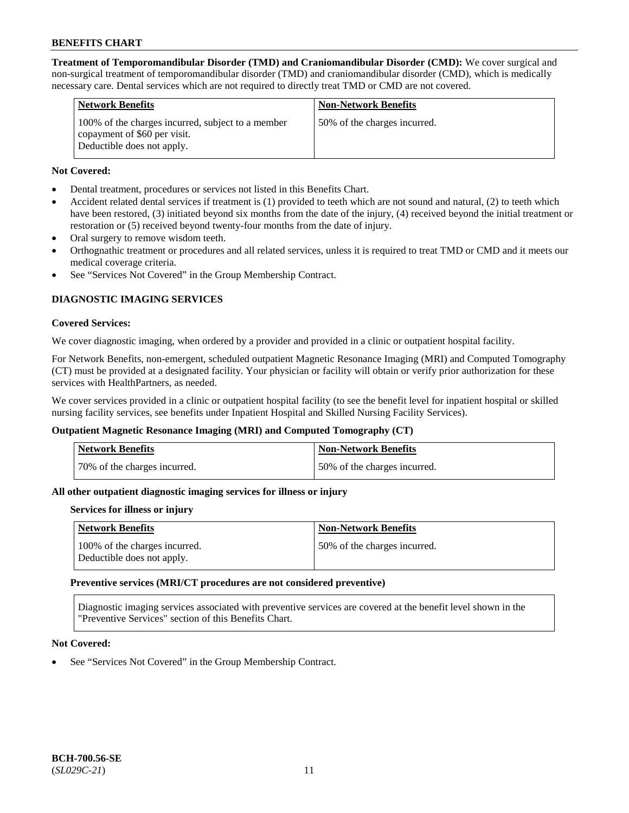**Treatment of Temporomandibular Disorder (TMD) and Craniomandibular Disorder (CMD):** We cover surgical and non-surgical treatment of temporomandibular disorder (TMD) and craniomandibular disorder (CMD), which is medically necessary care. Dental services which are not required to directly treat TMD or CMD are not covered.

| <b>Network Benefits</b>                                                                                         | <b>Non-Network Benefits</b>  |
|-----------------------------------------------------------------------------------------------------------------|------------------------------|
| 100% of the charges incurred, subject to a member<br>copayment of \$60 per visit.<br>Deductible does not apply. | 50% of the charges incurred. |

## **Not Covered:**

- Dental treatment, procedures or services not listed in this Benefits Chart.
- Accident related dental services if treatment is (1) provided to teeth which are not sound and natural, (2) to teeth which have been restored, (3) initiated beyond six months from the date of the injury, (4) received beyond the initial treatment or restoration or (5) received beyond twenty-four months from the date of injury.
- Oral surgery to remove wisdom teeth.
- Orthognathic treatment or procedures and all related services, unless it is required to treat TMD or CMD and it meets our medical coverage criteria.
- See "Services Not Covered" in the Group Membership Contract.

## **DIAGNOSTIC IMAGING SERVICES**

## **Covered Services:**

We cover diagnostic imaging, when ordered by a provider and provided in a clinic or outpatient hospital facility.

For Network Benefits, non-emergent, scheduled outpatient Magnetic Resonance Imaging (MRI) and Computed Tomography (CT) must be provided at a designated facility. Your physician or facility will obtain or verify prior authorization for these services with HealthPartners, as needed.

We cover services provided in a clinic or outpatient hospital facility (to see the benefit level for inpatient hospital or skilled nursing facility services, see benefits under Inpatient Hospital and Skilled Nursing Facility Services).

## **Outpatient Magnetic Resonance Imaging (MRI) and Computed Tomography (CT)**

| Network Benefits             | <b>Non-Network Benefits</b>  |
|------------------------------|------------------------------|
| 70% of the charges incurred. | 50% of the charges incurred. |

## **All other outpatient diagnostic imaging services for illness or injury**

#### **Services for illness or injury**

| <b>Network Benefits</b>                                     | <b>Non-Network Benefits</b>  |
|-------------------------------------------------------------|------------------------------|
| 100% of the charges incurred.<br>Deductible does not apply. | 50% of the charges incurred. |

#### **Preventive services (MRI/CT procedures are not considered preventive)**

Diagnostic imaging services associated with preventive services are covered at the benefit level shown in the "Preventive Services" section of this Benefits Chart.

#### **Not Covered:**

See "Services Not Covered" in the Group Membership Contract.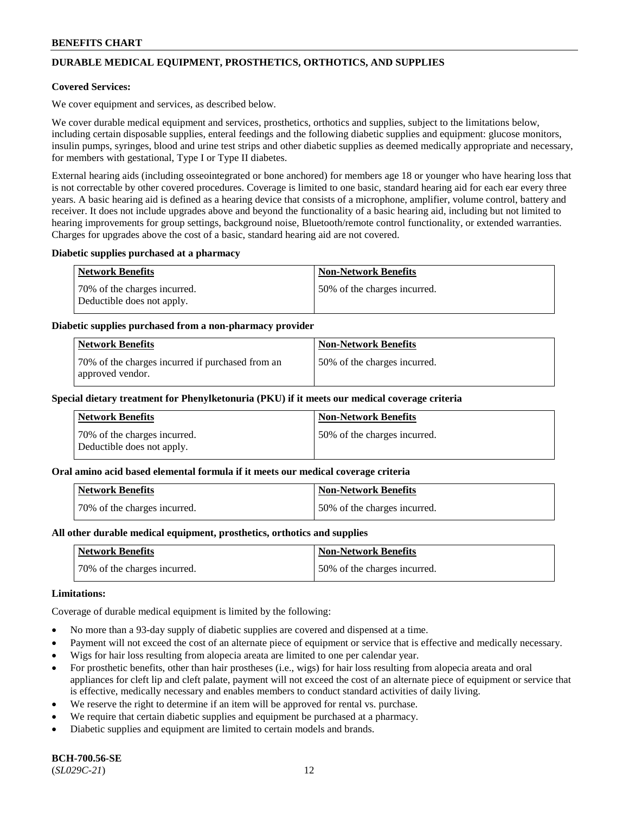## **DURABLE MEDICAL EQUIPMENT, PROSTHETICS, ORTHOTICS, AND SUPPLIES**

### **Covered Services:**

We cover equipment and services, as described below.

We cover durable medical equipment and services, prosthetics, orthotics and supplies, subject to the limitations below, including certain disposable supplies, enteral feedings and the following diabetic supplies and equipment: glucose monitors, insulin pumps, syringes, blood and urine test strips and other diabetic supplies as deemed medically appropriate and necessary, for members with gestational, Type I or Type II diabetes.

External hearing aids (including osseointegrated or bone anchored) for members age 18 or younger who have hearing loss that is not correctable by other covered procedures. Coverage is limited to one basic, standard hearing aid for each ear every three years. A basic hearing aid is defined as a hearing device that consists of a microphone, amplifier, volume control, battery and receiver. It does not include upgrades above and beyond the functionality of a basic hearing aid, including but not limited to hearing improvements for group settings, background noise, Bluetooth/remote control functionality, or extended warranties. Charges for upgrades above the cost of a basic, standard hearing aid are not covered.

#### **Diabetic supplies purchased at a pharmacy**

| <b>Network Benefits</b>                                    | <b>Non-Network Benefits</b>  |
|------------------------------------------------------------|------------------------------|
| 70% of the charges incurred.<br>Deductible does not apply. | 50% of the charges incurred. |

### **Diabetic supplies purchased from a non-pharmacy provider**

| Network Benefits                                                     | <b>Non-Network Benefits</b>  |
|----------------------------------------------------------------------|------------------------------|
| 70% of the charges incurred if purchased from an<br>approved vendor. | 50% of the charges incurred. |

#### **Special dietary treatment for Phenylketonuria (PKU) if it meets our medical coverage criteria**

| Network Benefits                                           | <b>Non-Network Benefits</b>   |
|------------------------------------------------------------|-------------------------------|
| 70% of the charges incurred.<br>Deductible does not apply. | 150% of the charges incurred. |

#### **Oral amino acid based elemental formula if it meets our medical coverage criteria**

| <b>Network Benefits</b>      | <b>Non-Network Benefits</b>  |
|------------------------------|------------------------------|
| 70% of the charges incurred. | 50% of the charges incurred. |

#### **All other durable medical equipment, prosthetics, orthotics and supplies**

| Network Benefits             | <b>Non-Network Benefits</b>  |
|------------------------------|------------------------------|
| 70% of the charges incurred. | 50% of the charges incurred. |

#### **Limitations:**

Coverage of durable medical equipment is limited by the following:

- No more than a 93-day supply of diabetic supplies are covered and dispensed at a time.
- Payment will not exceed the cost of an alternate piece of equipment or service that is effective and medically necessary.
- Wigs for hair loss resulting from alopecia areata are limited to one per calendar year.
- For prosthetic benefits, other than hair prostheses (i.e., wigs) for hair loss resulting from alopecia areata and oral appliances for cleft lip and cleft palate, payment will not exceed the cost of an alternate piece of equipment or service that is effective, medically necessary and enables members to conduct standard activities of daily living.
- We reserve the right to determine if an item will be approved for rental vs. purchase.
- We require that certain diabetic supplies and equipment be purchased at a pharmacy.
- Diabetic supplies and equipment are limited to certain models and brands.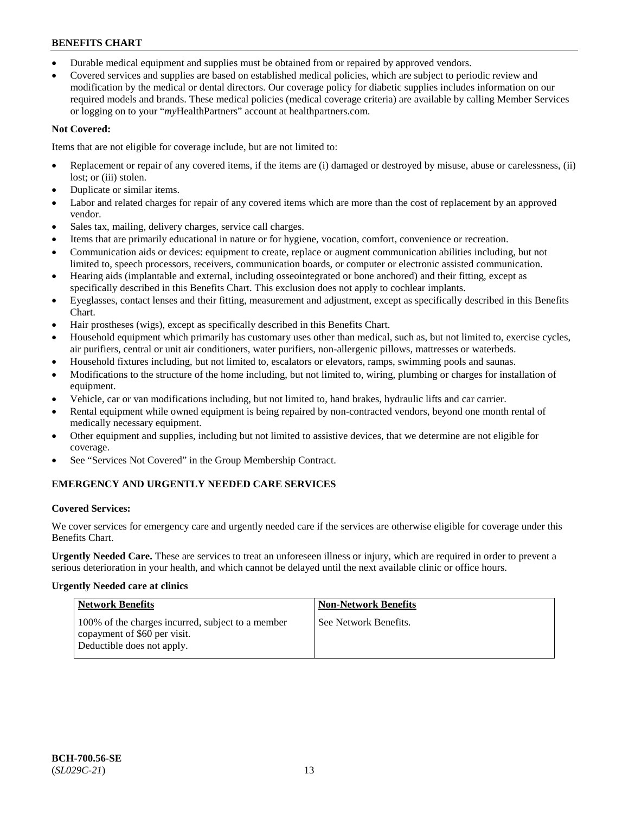- Durable medical equipment and supplies must be obtained from or repaired by approved vendors.
- Covered services and supplies are based on established medical policies, which are subject to periodic review and modification by the medical or dental directors. Our coverage policy for diabetic supplies includes information on our required models and brands. These medical policies (medical coverage criteria) are available by calling Member Services or logging on to your "*my*HealthPartners" account a[t healthpartners.com.](https://www.healthpartners.com/hp/index.html)

## **Not Covered:**

Items that are not eligible for coverage include, but are not limited to:

- Replacement or repair of any covered items, if the items are (i) damaged or destroyed by misuse, abuse or carelessness, (ii) lost; or (iii) stolen.
- Duplicate or similar items.
- Labor and related charges for repair of any covered items which are more than the cost of replacement by an approved vendor.
- Sales tax, mailing, delivery charges, service call charges.
- Items that are primarily educational in nature or for hygiene, vocation, comfort, convenience or recreation.
- Communication aids or devices: equipment to create, replace or augment communication abilities including, but not limited to, speech processors, receivers, communication boards, or computer or electronic assisted communication.
- Hearing aids (implantable and external, including osseointegrated or bone anchored) and their fitting, except as specifically described in this Benefits Chart. This exclusion does not apply to cochlear implants.
- Eyeglasses, contact lenses and their fitting, measurement and adjustment, except as specifically described in this Benefits Chart.
- Hair prostheses (wigs), except as specifically described in this Benefits Chart.
- Household equipment which primarily has customary uses other than medical, such as, but not limited to, exercise cycles, air purifiers, central or unit air conditioners, water purifiers, non-allergenic pillows, mattresses or waterbeds.
- Household fixtures including, but not limited to, escalators or elevators, ramps, swimming pools and saunas.
- Modifications to the structure of the home including, but not limited to, wiring, plumbing or charges for installation of equipment.
- Vehicle, car or van modifications including, but not limited to, hand brakes, hydraulic lifts and car carrier.
- Rental equipment while owned equipment is being repaired by non-contracted vendors, beyond one month rental of medically necessary equipment.
- Other equipment and supplies, including but not limited to assistive devices, that we determine are not eligible for coverage.
- See "Services Not Covered" in the Group Membership Contract.

## **EMERGENCY AND URGENTLY NEEDED CARE SERVICES**

## **Covered Services:**

We cover services for emergency care and urgently needed care if the services are otherwise eligible for coverage under this Benefits Chart.

**Urgently Needed Care.** These are services to treat an unforeseen illness or injury, which are required in order to prevent a serious deterioration in your health, and which cannot be delayed until the next available clinic or office hours.

## **Urgently Needed care at clinics**

| <b>Network Benefits</b>                                                                                         | <b>Non-Network Benefits</b> |
|-----------------------------------------------------------------------------------------------------------------|-----------------------------|
| 100% of the charges incurred, subject to a member<br>copayment of \$60 per visit.<br>Deductible does not apply. | See Network Benefits.       |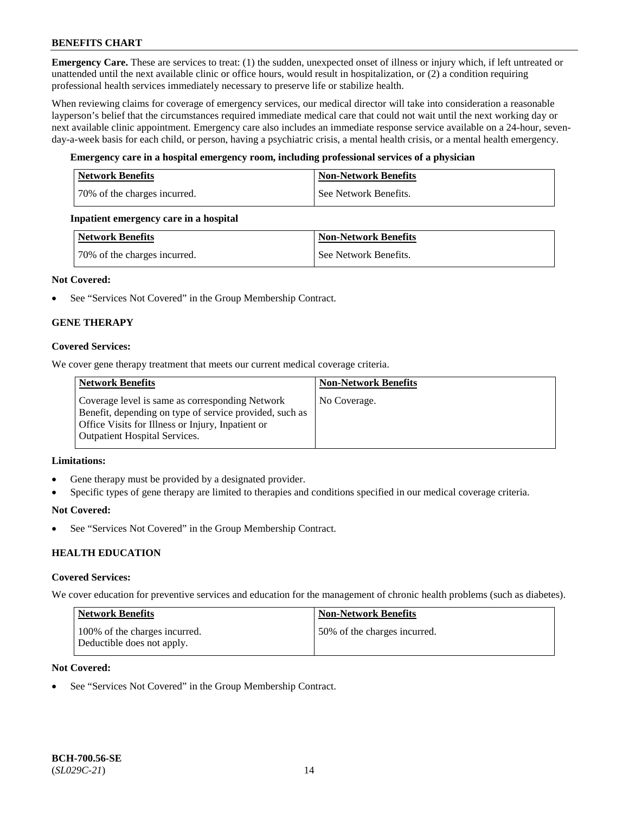**Emergency Care.** These are services to treat: (1) the sudden, unexpected onset of illness or injury which, if left untreated or unattended until the next available clinic or office hours, would result in hospitalization, or (2) a condition requiring professional health services immediately necessary to preserve life or stabilize health.

When reviewing claims for coverage of emergency services, our medical director will take into consideration a reasonable layperson's belief that the circumstances required immediate medical care that could not wait until the next working day or next available clinic appointment. Emergency care also includes an immediate response service available on a 24-hour, sevenday-a-week basis for each child, or person, having a psychiatric crisis, a mental health crisis, or a mental health emergency.

## **Emergency care in a hospital emergency room, including professional services of a physician**

| Network Benefits             | <b>Non-Network Benefits</b> |
|------------------------------|-----------------------------|
| 70% of the charges incurred. | See Network Benefits.       |

## **Inpatient emergency care in a hospital**

| Network Benefits             | Non-Network Benefits  |
|------------------------------|-----------------------|
| 70% of the charges incurred. | See Network Benefits. |

## **Not Covered:**

• See "Services Not Covered" in the Group Membership Contract.

## **GENE THERAPY**

## **Covered Services:**

We cover gene therapy treatment that meets our current medical coverage criteria.

| <b>Network Benefits</b>                                                                                                                                                                                 | <b>Non-Network Benefits</b> |
|---------------------------------------------------------------------------------------------------------------------------------------------------------------------------------------------------------|-----------------------------|
| Coverage level is same as corresponding Network<br>Benefit, depending on type of service provided, such as<br>Office Visits for Illness or Injury, Inpatient or<br><b>Outpatient Hospital Services.</b> | No Coverage.                |

#### **Limitations:**

- Gene therapy must be provided by a designated provider.
- Specific types of gene therapy are limited to therapies and conditions specified in our medical coverage criteria.

#### **Not Covered:**

See "Services Not Covered" in the Group Membership Contract.

## **HEALTH EDUCATION**

#### **Covered Services:**

We cover education for preventive services and education for the management of chronic health problems (such as diabetes).

| Network Benefits                                            | <b>Non-Network Benefits</b>  |
|-------------------------------------------------------------|------------------------------|
| 100% of the charges incurred.<br>Deductible does not apply. | 50% of the charges incurred. |

### **Not Covered:**

See "Services Not Covered" in the Group Membership Contract.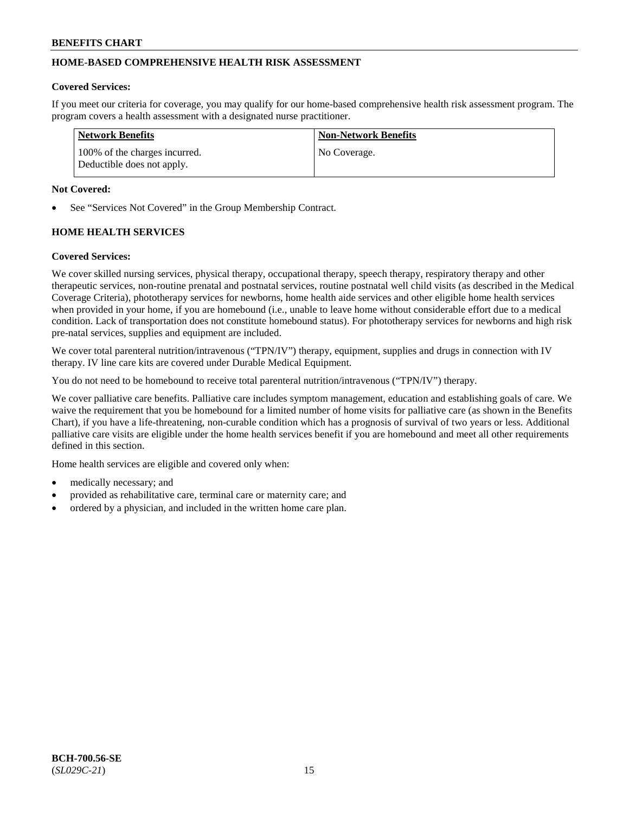## **HOME-BASED COMPREHENSIVE HEALTH RISK ASSESSMENT**

#### **Covered Services:**

If you meet our criteria for coverage, you may qualify for our home-based comprehensive health risk assessment program. The program covers a health assessment with a designated nurse practitioner.

| <b>Network Benefits</b>                                     | <b>Non-Network Benefits</b> |
|-------------------------------------------------------------|-----------------------------|
| 100% of the charges incurred.<br>Deductible does not apply. | No Coverage.                |

### **Not Covered:**

See "Services Not Covered" in the Group Membership Contract.

## **HOME HEALTH SERVICES**

### **Covered Services:**

We cover skilled nursing services, physical therapy, occupational therapy, speech therapy, respiratory therapy and other therapeutic services, non-routine prenatal and postnatal services, routine postnatal well child visits (as described in the Medical Coverage Criteria), phototherapy services for newborns, home health aide services and other eligible home health services when provided in your home, if you are homebound (i.e., unable to leave home without considerable effort due to a medical condition. Lack of transportation does not constitute homebound status). For phototherapy services for newborns and high risk pre-natal services, supplies and equipment are included.

We cover total parenteral nutrition/intravenous ("TPN/IV") therapy, equipment, supplies and drugs in connection with IV therapy. IV line care kits are covered under Durable Medical Equipment.

You do not need to be homebound to receive total parenteral nutrition/intravenous ("TPN/IV") therapy.

We cover palliative care benefits. Palliative care includes symptom management, education and establishing goals of care. We waive the requirement that you be homebound for a limited number of home visits for palliative care (as shown in the Benefits Chart), if you have a life-threatening, non-curable condition which has a prognosis of survival of two years or less. Additional palliative care visits are eligible under the home health services benefit if you are homebound and meet all other requirements defined in this section.

Home health services are eligible and covered only when:

- medically necessary; and
- provided as rehabilitative care, terminal care or maternity care; and
- ordered by a physician, and included in the written home care plan.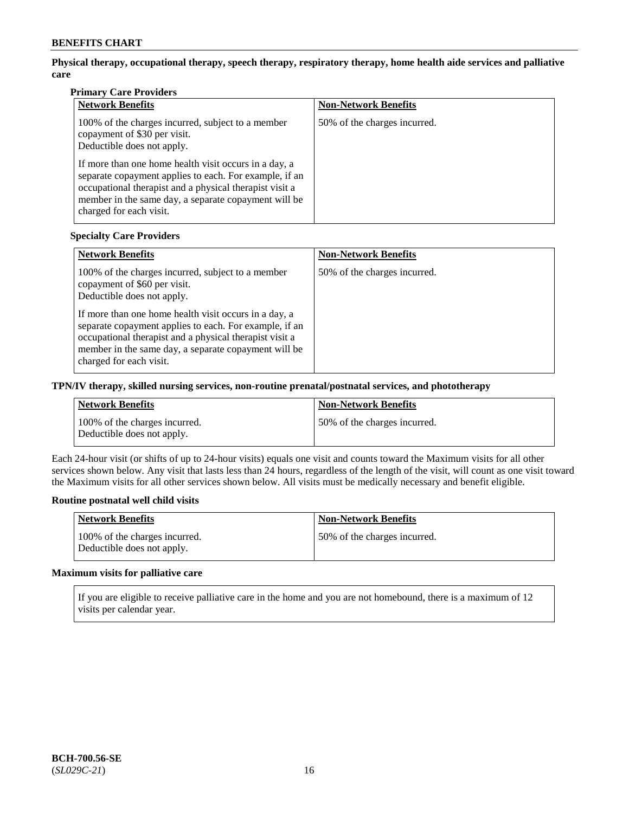**Physical therapy, occupational therapy, speech therapy, respiratory therapy, home health aide services and palliative care**

## **Primary Care Providers**

| <b>Network Benefits</b>                                                                                                                                                                                                                                       | <b>Non-Network Benefits</b>  |
|---------------------------------------------------------------------------------------------------------------------------------------------------------------------------------------------------------------------------------------------------------------|------------------------------|
| 100% of the charges incurred, subject to a member<br>copayment of \$30 per visit.<br>Deductible does not apply.                                                                                                                                               | 50% of the charges incurred. |
| If more than one home health visit occurs in a day, a<br>separate copayment applies to each. For example, if an<br>occupational therapist and a physical therapist visit a<br>member in the same day, a separate copayment will be<br>charged for each visit. |                              |

## **Specialty Care Providers**

| <b>Network Benefits</b>                                                                                                                                                                                                                                       | <b>Non-Network Benefits</b>  |
|---------------------------------------------------------------------------------------------------------------------------------------------------------------------------------------------------------------------------------------------------------------|------------------------------|
| 100% of the charges incurred, subject to a member<br>copayment of \$60 per visit.<br>Deductible does not apply.                                                                                                                                               | 50% of the charges incurred. |
| If more than one home health visit occurs in a day, a<br>separate copayment applies to each. For example, if an<br>occupational therapist and a physical therapist visit a<br>member in the same day, a separate copayment will be<br>charged for each visit. |                              |

## **TPN/IV therapy, skilled nursing services, non-routine prenatal/postnatal services, and phototherapy**

| Network Benefits                                            | Non-Network Benefits         |
|-------------------------------------------------------------|------------------------------|
| 100% of the charges incurred.<br>Deductible does not apply. | 50% of the charges incurred. |

Each 24-hour visit (or shifts of up to 24-hour visits) equals one visit and counts toward the Maximum visits for all other services shown below. Any visit that lasts less than 24 hours, regardless of the length of the visit, will count as one visit toward the Maximum visits for all other services shown below. All visits must be medically necessary and benefit eligible.

## **Routine postnatal well child visits**

| Network Benefits                                            | <b>Non-Network Benefits</b>  |
|-------------------------------------------------------------|------------------------------|
| 100% of the charges incurred.<br>Deductible does not apply. | 50% of the charges incurred. |

## **Maximum visits for palliative care**

If you are eligible to receive palliative care in the home and you are not homebound, there is a maximum of 12 visits per calendar year.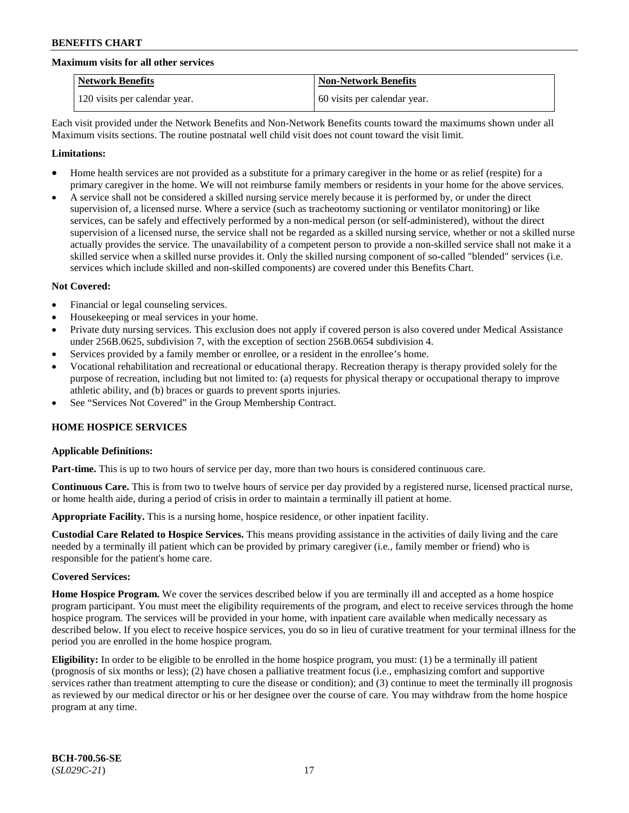#### **Maximum visits for all other services**

| <b>Network Benefits</b>       | <b>Non-Network Benefits</b>  |
|-------------------------------|------------------------------|
| 120 visits per calendar year. | 60 visits per calendar year. |

Each visit provided under the Network Benefits and Non-Network Benefits counts toward the maximums shown under all Maximum visits sections. The routine postnatal well child visit does not count toward the visit limit.

### **Limitations:**

- Home health services are not provided as a substitute for a primary caregiver in the home or as relief (respite) for a primary caregiver in the home. We will not reimburse family members or residents in your home for the above services.
- A service shall not be considered a skilled nursing service merely because it is performed by, or under the direct supervision of, a licensed nurse. Where a service (such as tracheotomy suctioning or ventilator monitoring) or like services, can be safely and effectively performed by a non-medical person (or self-administered), without the direct supervision of a licensed nurse, the service shall not be regarded as a skilled nursing service, whether or not a skilled nurse actually provides the service. The unavailability of a competent person to provide a non-skilled service shall not make it a skilled service when a skilled nurse provides it. Only the skilled nursing component of so-called "blended" services (i.e. services which include skilled and non-skilled components) are covered under this Benefits Chart.

#### **Not Covered:**

- Financial or legal counseling services.
- Housekeeping or meal services in your home.
- Private duty nursing services. This exclusion does not apply if covered person is also covered under Medical Assistance under 256B.0625, subdivision 7, with the exception of section 256B.0654 subdivision 4.
- Services provided by a family member or enrollee, or a resident in the enrollee's home.
- Vocational rehabilitation and recreational or educational therapy. Recreation therapy is therapy provided solely for the purpose of recreation, including but not limited to: (a) requests for physical therapy or occupational therapy to improve athletic ability, and (b) braces or guards to prevent sports injuries.
- See "Services Not Covered" in the Group Membership Contract.

## **HOME HOSPICE SERVICES**

## **Applicable Definitions:**

**Part-time.** This is up to two hours of service per day, more than two hours is considered continuous care.

**Continuous Care.** This is from two to twelve hours of service per day provided by a registered nurse, licensed practical nurse, or home health aide, during a period of crisis in order to maintain a terminally ill patient at home.

**Appropriate Facility.** This is a nursing home, hospice residence, or other inpatient facility.

**Custodial Care Related to Hospice Services.** This means providing assistance in the activities of daily living and the care needed by a terminally ill patient which can be provided by primary caregiver (i.e., family member or friend) who is responsible for the patient's home care.

#### **Covered Services:**

**Home Hospice Program.** We cover the services described below if you are terminally ill and accepted as a home hospice program participant. You must meet the eligibility requirements of the program, and elect to receive services through the home hospice program. The services will be provided in your home, with inpatient care available when medically necessary as described below. If you elect to receive hospice services, you do so in lieu of curative treatment for your terminal illness for the period you are enrolled in the home hospice program.

**Eligibility:** In order to be eligible to be enrolled in the home hospice program, you must: (1) be a terminally ill patient (prognosis of six months or less); (2) have chosen a palliative treatment focus (i.e., emphasizing comfort and supportive services rather than treatment attempting to cure the disease or condition); and (3) continue to meet the terminally ill prognosis as reviewed by our medical director or his or her designee over the course of care. You may withdraw from the home hospice program at any time.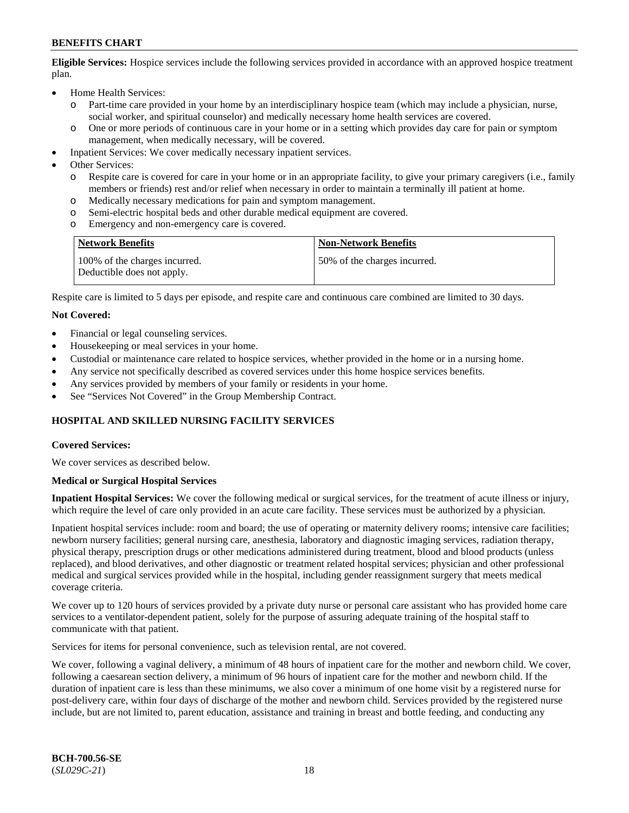**Eligible Services:** Hospice services include the following services provided in accordance with an approved hospice treatment plan.

- Home Health Services:
	- o Part-time care provided in your home by an interdisciplinary hospice team (which may include a physician, nurse, social worker, and spiritual counselor) and medically necessary home health services are covered.
	- o One or more periods of continuous care in your home or in a setting which provides day care for pain or symptom management, when medically necessary, will be covered.
- Inpatient Services: We cover medically necessary inpatient services.
- Other Services:
	- o Respite care is covered for care in your home or in an appropriate facility, to give your primary caregivers (i.e., family members or friends) rest and/or relief when necessary in order to maintain a terminally ill patient at home.
	- o Medically necessary medications for pain and symptom management.
	- Semi-electric hospital beds and other durable medical equipment are covered.
	- o Emergency and non-emergency care is covered.

| <b>Network Benefits</b>                                     | <b>Non-Network Benefits</b>   |
|-------------------------------------------------------------|-------------------------------|
| 100% of the charges incurred.<br>Deductible does not apply. | 150% of the charges incurred. |

Respite care is limited to 5 days per episode, and respite care and continuous care combined are limited to 30 days.

### **Not Covered:**

- Financial or legal counseling services.
- Housekeeping or meal services in your home.
- Custodial or maintenance care related to hospice services, whether provided in the home or in a nursing home.
- Any service not specifically described as covered services under this home hospice services benefits.
- Any services provided by members of your family or residents in your home.
- See "Services Not Covered" in the Group Membership Contract.

## **HOSPITAL AND SKILLED NURSING FACILITY SERVICES**

#### **Covered Services:**

We cover services as described below.

#### **Medical or Surgical Hospital Services**

**Inpatient Hospital Services:** We cover the following medical or surgical services, for the treatment of acute illness or injury, which require the level of care only provided in an acute care facility. These services must be authorized by a physician.

Inpatient hospital services include: room and board; the use of operating or maternity delivery rooms; intensive care facilities; newborn nursery facilities; general nursing care, anesthesia, laboratory and diagnostic imaging services, radiation therapy, physical therapy, prescription drugs or other medications administered during treatment, blood and blood products (unless replaced), and blood derivatives, and other diagnostic or treatment related hospital services; physician and other professional medical and surgical services provided while in the hospital, including gender reassignment surgery that meets medical coverage criteria.

We cover up to 120 hours of services provided by a private duty nurse or personal care assistant who has provided home care services to a ventilator-dependent patient, solely for the purpose of assuring adequate training of the hospital staff to communicate with that patient.

Services for items for personal convenience, such as television rental, are not covered.

We cover, following a vaginal delivery, a minimum of 48 hours of inpatient care for the mother and newborn child. We cover, following a caesarean section delivery, a minimum of 96 hours of inpatient care for the mother and newborn child. If the duration of inpatient care is less than these minimums, we also cover a minimum of one home visit by a registered nurse for post-delivery care, within four days of discharge of the mother and newborn child. Services provided by the registered nurse include, but are not limited to, parent education, assistance and training in breast and bottle feeding, and conducting any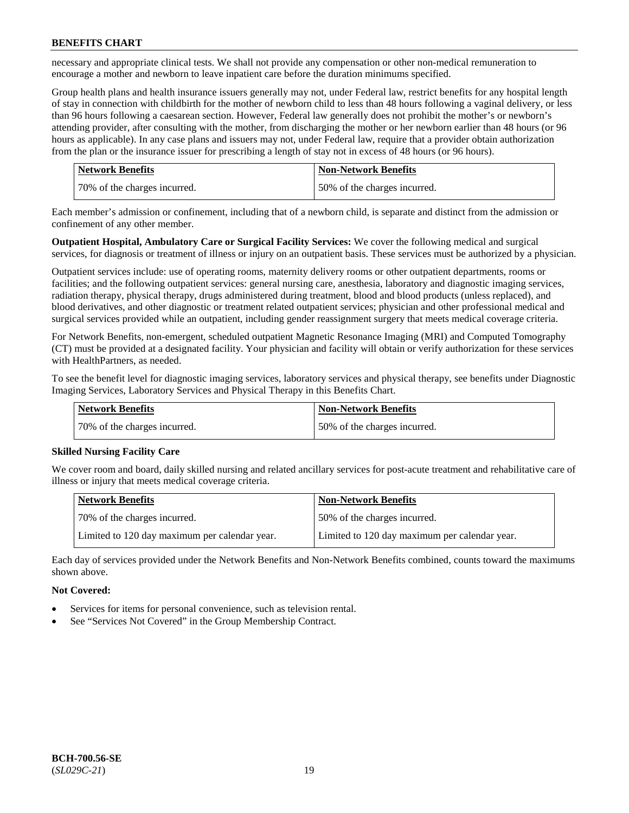necessary and appropriate clinical tests. We shall not provide any compensation or other non-medical remuneration to encourage a mother and newborn to leave inpatient care before the duration minimums specified.

Group health plans and health insurance issuers generally may not, under Federal law, restrict benefits for any hospital length of stay in connection with childbirth for the mother of newborn child to less than 48 hours following a vaginal delivery, or less than 96 hours following a caesarean section. However, Federal law generally does not prohibit the mother's or newborn's attending provider, after consulting with the mother, from discharging the mother or her newborn earlier than 48 hours (or 96 hours as applicable). In any case plans and issuers may not, under Federal law, require that a provider obtain authorization from the plan or the insurance issuer for prescribing a length of stay not in excess of 48 hours (or 96 hours).

| Network Benefits             | <b>Non-Network Benefits</b>  |
|------------------------------|------------------------------|
| 70% of the charges incurred. | 50% of the charges incurred. |

Each member's admission or confinement, including that of a newborn child, is separate and distinct from the admission or confinement of any other member.

**Outpatient Hospital, Ambulatory Care or Surgical Facility Services:** We cover the following medical and surgical services, for diagnosis or treatment of illness or injury on an outpatient basis. These services must be authorized by a physician.

Outpatient services include: use of operating rooms, maternity delivery rooms or other outpatient departments, rooms or facilities; and the following outpatient services: general nursing care, anesthesia, laboratory and diagnostic imaging services, radiation therapy, physical therapy, drugs administered during treatment, blood and blood products (unless replaced), and blood derivatives, and other diagnostic or treatment related outpatient services; physician and other professional medical and surgical services provided while an outpatient, including gender reassignment surgery that meets medical coverage criteria.

For Network Benefits, non-emergent, scheduled outpatient Magnetic Resonance Imaging (MRI) and Computed Tomography (CT) must be provided at a designated facility. Your physician and facility will obtain or verify authorization for these services with HealthPartners, as needed.

To see the benefit level for diagnostic imaging services, laboratory services and physical therapy, see benefits under Diagnostic Imaging Services, Laboratory Services and Physical Therapy in this Benefits Chart.

| <b>Network Benefits</b>      | <b>Non-Network Benefits</b>   |
|------------------------------|-------------------------------|
| 70% of the charges incurred. | 150% of the charges incurred. |

## **Skilled Nursing Facility Care**

We cover room and board, daily skilled nursing and related ancillary services for post-acute treatment and rehabilitative care of illness or injury that meets medical coverage criteria.

| Network Benefits                              | <b>Non-Network Benefits</b>                   |
|-----------------------------------------------|-----------------------------------------------|
| 70% of the charges incurred.                  | 50% of the charges incurred.                  |
| Limited to 120 day maximum per calendar year. | Limited to 120 day maximum per calendar year. |

Each day of services provided under the Network Benefits and Non-Network Benefits combined, counts toward the maximums shown above.

## **Not Covered:**

- Services for items for personal convenience, such as television rental.
- See "Services Not Covered" in the Group Membership Contract.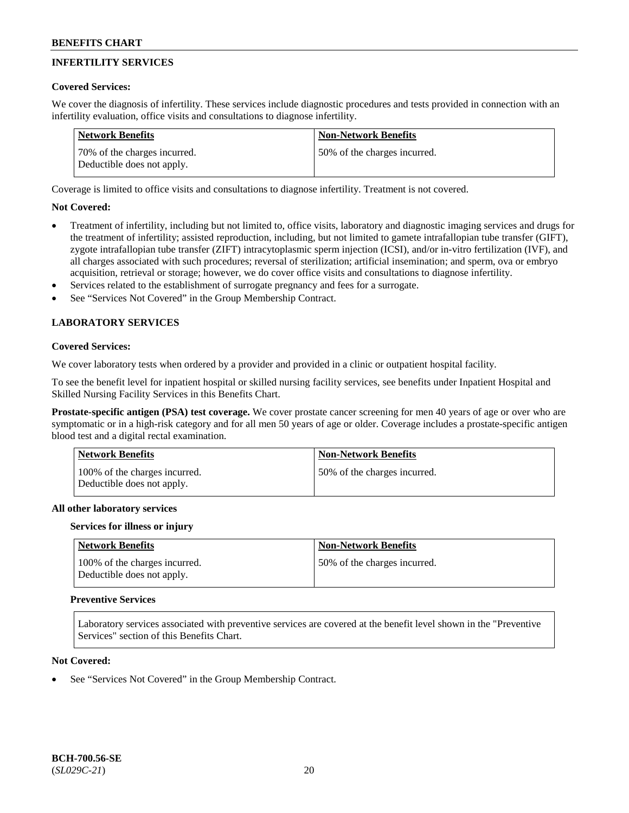## **INFERTILITY SERVICES**

## **Covered Services:**

We cover the diagnosis of infertility. These services include diagnostic procedures and tests provided in connection with an infertility evaluation, office visits and consultations to diagnose infertility.

| Network Benefits                                           | <b>Non-Network Benefits</b>  |
|------------------------------------------------------------|------------------------------|
| 70% of the charges incurred.<br>Deductible does not apply. | 50% of the charges incurred. |

Coverage is limited to office visits and consultations to diagnose infertility. Treatment is not covered.

## **Not Covered:**

- Treatment of infertility, including but not limited to, office visits, laboratory and diagnostic imaging services and drugs for the treatment of infertility; assisted reproduction, including, but not limited to gamete intrafallopian tube transfer (GIFT), zygote intrafallopian tube transfer (ZIFT) intracytoplasmic sperm injection (ICSI), and/or in-vitro fertilization (IVF), and all charges associated with such procedures; reversal of sterilization; artificial insemination; and sperm, ova or embryo acquisition, retrieval or storage; however, we do cover office visits and consultations to diagnose infertility.
- Services related to the establishment of surrogate pregnancy and fees for a surrogate.
- See "Services Not Covered" in the Group Membership Contract.

## **LABORATORY SERVICES**

### **Covered Services:**

We cover laboratory tests when ordered by a provider and provided in a clinic or outpatient hospital facility.

To see the benefit level for inpatient hospital or skilled nursing facility services, see benefits under Inpatient Hospital and Skilled Nursing Facility Services in this Benefits Chart.

**Prostate-specific antigen (PSA) test coverage.** We cover prostate cancer screening for men 40 years of age or over who are symptomatic or in a high-risk category and for all men 50 years of age or older. Coverage includes a prostate-specific antigen blood test and a digital rectal examination.

| Network Benefits                                            | <b>Non-Network Benefits</b>  |
|-------------------------------------------------------------|------------------------------|
| 100% of the charges incurred.<br>Deductible does not apply. | 50% of the charges incurred. |

#### **All other laboratory services**

#### **Services for illness or injury**

| Network Benefits                                            | <b>Non-Network Benefits</b>  |
|-------------------------------------------------------------|------------------------------|
| 100% of the charges incurred.<br>Deductible does not apply. | 50% of the charges incurred. |

## **Preventive Services**

Laboratory services associated with preventive services are covered at the benefit level shown in the "Preventive Services" section of this Benefits Chart.

#### **Not Covered:**

See "Services Not Covered" in the Group Membership Contract.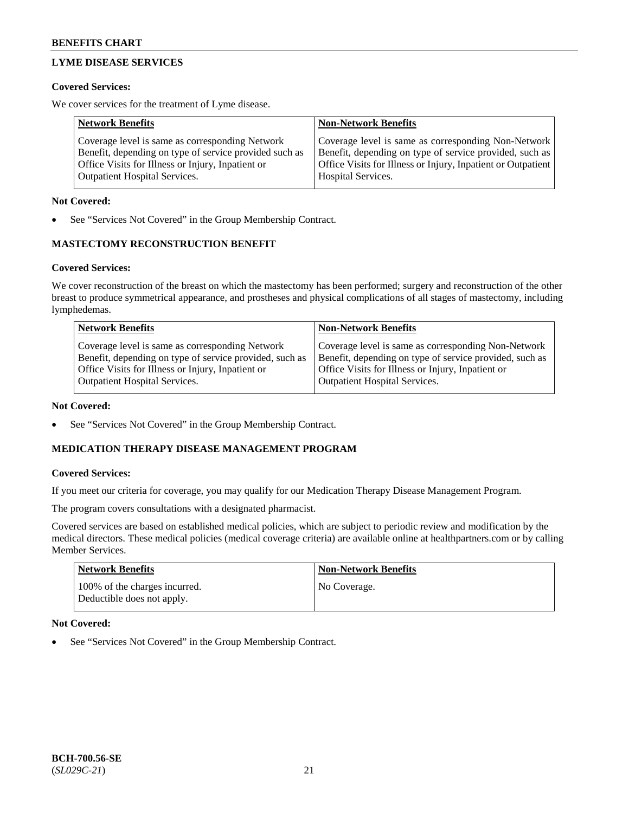## **LYME DISEASE SERVICES**

## **Covered Services:**

We cover services for the treatment of Lyme disease.

| <b>Network Benefits</b>                                | <b>Non-Network Benefits</b>                                  |
|--------------------------------------------------------|--------------------------------------------------------------|
| Coverage level is same as corresponding Network        | Coverage level is same as corresponding Non-Network          |
| Benefit, depending on type of service provided such as | Benefit, depending on type of service provided, such as      |
| Office Visits for Illness or Injury, Inpatient or      | Office Visits for Illness or Injury, Inpatient or Outpatient |
| <b>Outpatient Hospital Services.</b>                   | Hospital Services.                                           |

## **Not Covered:**

See "Services Not Covered" in the Group Membership Contract.

## **MASTECTOMY RECONSTRUCTION BENEFIT**

## **Covered Services:**

We cover reconstruction of the breast on which the mastectomy has been performed; surgery and reconstruction of the other breast to produce symmetrical appearance, and prostheses and physical complications of all stages of mastectomy, including lymphedemas.

| <b>Network Benefits</b>                                 | <b>Non-Network Benefits</b>                             |
|---------------------------------------------------------|---------------------------------------------------------|
| Coverage level is same as corresponding Network         | Coverage level is same as corresponding Non-Network     |
| Benefit, depending on type of service provided, such as | Benefit, depending on type of service provided, such as |
| Office Visits for Illness or Injury, Inpatient or       | Office Visits for Illness or Injury, Inpatient or       |
| <b>Outpatient Hospital Services.</b>                    | Outpatient Hospital Services.                           |

## **Not Covered:**

• See "Services Not Covered" in the Group Membership Contract.

## **MEDICATION THERAPY DISEASE MANAGEMENT PROGRAM**

## **Covered Services:**

If you meet our criteria for coverage, you may qualify for our Medication Therapy Disease Management Program.

The program covers consultations with a designated pharmacist.

Covered services are based on established medical policies, which are subject to periodic review and modification by the medical directors. These medical policies (medical coverage criteria) are available online at [healthpartners.com](https://www.healthpartners.com/hp/index.html) or by calling Member Services.

| <b>Network Benefits</b>                                     | Non-Network Benefits |
|-------------------------------------------------------------|----------------------|
| 100% of the charges incurred.<br>Deductible does not apply. | No Coverage.         |

## **Not Covered:**

See "Services Not Covered" in the Group Membership Contract.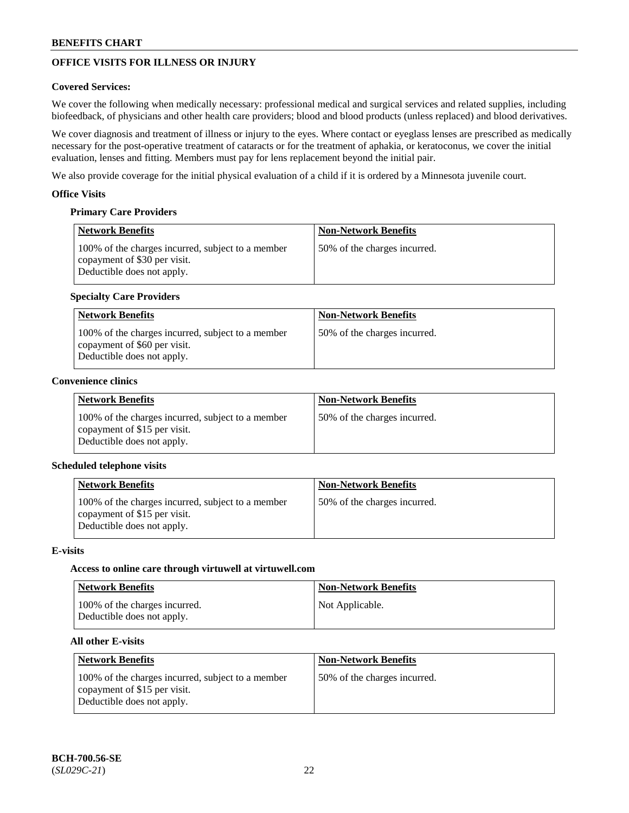## **OFFICE VISITS FOR ILLNESS OR INJURY**

## **Covered Services:**

We cover the following when medically necessary: professional medical and surgical services and related supplies, including biofeedback, of physicians and other health care providers; blood and blood products (unless replaced) and blood derivatives.

We cover diagnosis and treatment of illness or injury to the eyes. Where contact or eyeglass lenses are prescribed as medically necessary for the post-operative treatment of cataracts or for the treatment of aphakia, or keratoconus, we cover the initial evaluation, lenses and fitting. Members must pay for lens replacement beyond the initial pair.

We also provide coverage for the initial physical evaluation of a child if it is ordered by a Minnesota juvenile court.

## **Office Visits**

## **Primary Care Providers**

| <b>Network Benefits</b>                                                                                         | <b>Non-Network Benefits</b>  |
|-----------------------------------------------------------------------------------------------------------------|------------------------------|
| 100% of the charges incurred, subject to a member<br>copayment of \$30 per visit.<br>Deductible does not apply. | 50% of the charges incurred. |

## **Specialty Care Providers**

| <b>Network Benefits</b>                                                                                         | <b>Non-Network Benefits</b>  |
|-----------------------------------------------------------------------------------------------------------------|------------------------------|
| 100% of the charges incurred, subject to a member<br>copayment of \$60 per visit.<br>Deductible does not apply. | 50% of the charges incurred. |

## **Convenience clinics**

| <b>Network Benefits</b>                                                                                         | <b>Non-Network Benefits</b>  |
|-----------------------------------------------------------------------------------------------------------------|------------------------------|
| 100% of the charges incurred, subject to a member<br>copayment of \$15 per visit.<br>Deductible does not apply. | 50% of the charges incurred. |

## **Scheduled telephone visits**

| <b>Network Benefits</b>                                                                                         | <b>Non-Network Benefits</b>  |
|-----------------------------------------------------------------------------------------------------------------|------------------------------|
| 100% of the charges incurred, subject to a member<br>copayment of \$15 per visit.<br>Deductible does not apply. | 50% of the charges incurred. |

## **E-visits**

## **Access to online care through virtuwell at [virtuwell.com](https://www.virtuwell.com/)**

| <b>Network Benefits</b>                                     | <b>Non-Network Benefits</b> |
|-------------------------------------------------------------|-----------------------------|
| 100% of the charges incurred.<br>Deductible does not apply. | Not Applicable.             |

## **All other E-visits**

| <b>Network Benefits</b>                                                                                         | <b>Non-Network Benefits</b>  |
|-----------------------------------------------------------------------------------------------------------------|------------------------------|
| 100% of the charges incurred, subject to a member<br>copayment of \$15 per visit.<br>Deductible does not apply. | 50% of the charges incurred. |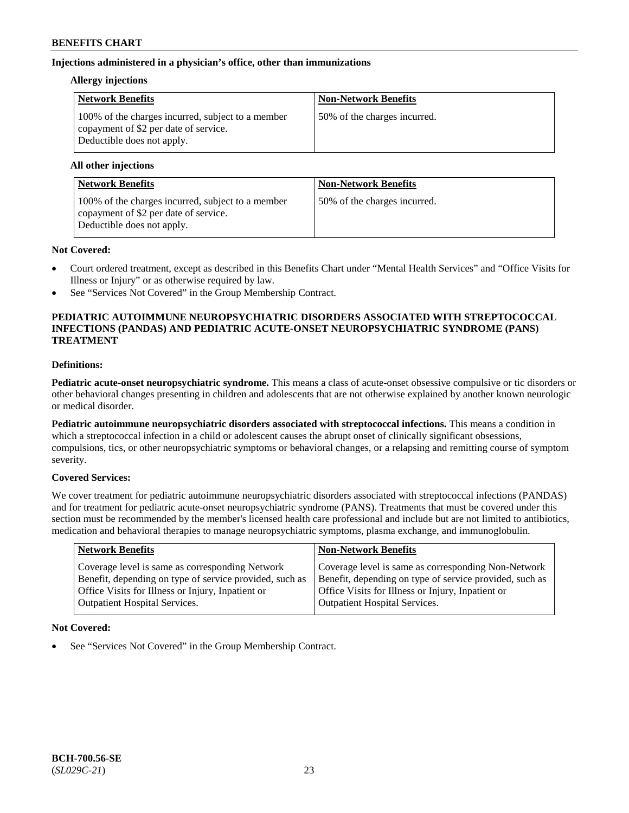## **Injections administered in a physician's office, other than immunizations**

### **Allergy injections**

| <b>Network Benefits</b>                                                                                                  | <b>Non-Network Benefits</b>  |
|--------------------------------------------------------------------------------------------------------------------------|------------------------------|
| 100% of the charges incurred, subject to a member<br>copayment of \$2 per date of service.<br>Deductible does not apply. | 50% of the charges incurred. |

### **All other injections**

| <b>Network Benefits</b>                                                                                                  | <b>Non-Network Benefits</b>  |
|--------------------------------------------------------------------------------------------------------------------------|------------------------------|
| 100% of the charges incurred, subject to a member<br>copayment of \$2 per date of service.<br>Deductible does not apply. | 50% of the charges incurred. |

## **Not Covered:**

- Court ordered treatment, except as described in this Benefits Chart under "Mental Health Services" and "Office Visits for Illness or Injury" or as otherwise required by law.
- See "Services Not Covered" in the Group Membership Contract.

## **PEDIATRIC AUTOIMMUNE NEUROPSYCHIATRIC DISORDERS ASSOCIATED WITH STREPTOCOCCAL INFECTIONS (PANDAS) AND PEDIATRIC ACUTE-ONSET NEUROPSYCHIATRIC SYNDROME (PANS) TREATMENT**

## **Definitions:**

**Pediatric acute-onset neuropsychiatric syndrome.** This means a class of acute-onset obsessive compulsive or tic disorders or other behavioral changes presenting in children and adolescents that are not otherwise explained by another known neurologic or medical disorder.

**Pediatric autoimmune neuropsychiatric disorders associated with streptococcal infections.** This means a condition in which a streptococcal infection in a child or adolescent causes the abrupt onset of clinically significant obsessions, compulsions, tics, or other neuropsychiatric symptoms or behavioral changes, or a relapsing and remitting course of symptom severity.

## **Covered Services:**

We cover treatment for pediatric autoimmune neuropsychiatric disorders associated with streptococcal infections (PANDAS) and for treatment for pediatric acute-onset neuropsychiatric syndrome (PANS). Treatments that must be covered under this section must be recommended by the member's licensed health care professional and include but are not limited to antibiotics, medication and behavioral therapies to manage neuropsychiatric symptoms, plasma exchange, and immunoglobulin.

| <b>Network Benefits</b>                                 | <b>Non-Network Benefits</b>                             |
|---------------------------------------------------------|---------------------------------------------------------|
| Coverage level is same as corresponding Network         | Coverage level is same as corresponding Non-Network     |
| Benefit, depending on type of service provided, such as | Benefit, depending on type of service provided, such as |
| Office Visits for Illness or Injury, Inpatient or       | Office Visits for Illness or Injury, Inpatient or       |
| <b>Outpatient Hospital Services.</b>                    | Outpatient Hospital Services.                           |

## **Not Covered:**

See "Services Not Covered" in the Group Membership Contract.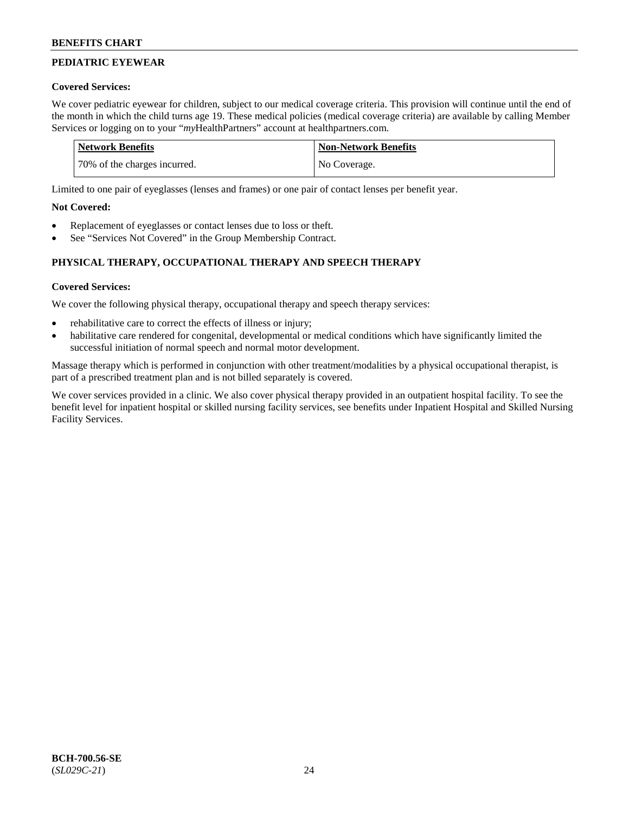## **PEDIATRIC EYEWEAR**

## **Covered Services:**

We cover pediatric eyewear for children, subject to our medical coverage criteria. This provision will continue until the end of the month in which the child turns age 19. These medical policies (medical coverage criteria) are available by calling Member Services or logging on to your "*my*HealthPartners" account at [healthpartners.com.](https://www.healthpartners.com/hp/index.html)

| Network Benefits             | <b>Non-Network Benefits</b> |
|------------------------------|-----------------------------|
| 70% of the charges incurred. | No Coverage.                |

Limited to one pair of eyeglasses (lenses and frames) or one pair of contact lenses per benefit year.

## **Not Covered:**

- Replacement of eyeglasses or contact lenses due to loss or theft.
- See "Services Not Covered" in the Group Membership Contract.

## **PHYSICAL THERAPY, OCCUPATIONAL THERAPY AND SPEECH THERAPY**

## **Covered Services:**

We cover the following physical therapy, occupational therapy and speech therapy services:

- rehabilitative care to correct the effects of illness or injury;
- habilitative care rendered for congenital, developmental or medical conditions which have significantly limited the successful initiation of normal speech and normal motor development.

Massage therapy which is performed in conjunction with other treatment/modalities by a physical occupational therapist, is part of a prescribed treatment plan and is not billed separately is covered.

We cover services provided in a clinic. We also cover physical therapy provided in an outpatient hospital facility. To see the benefit level for inpatient hospital or skilled nursing facility services, see benefits under Inpatient Hospital and Skilled Nursing Facility Services.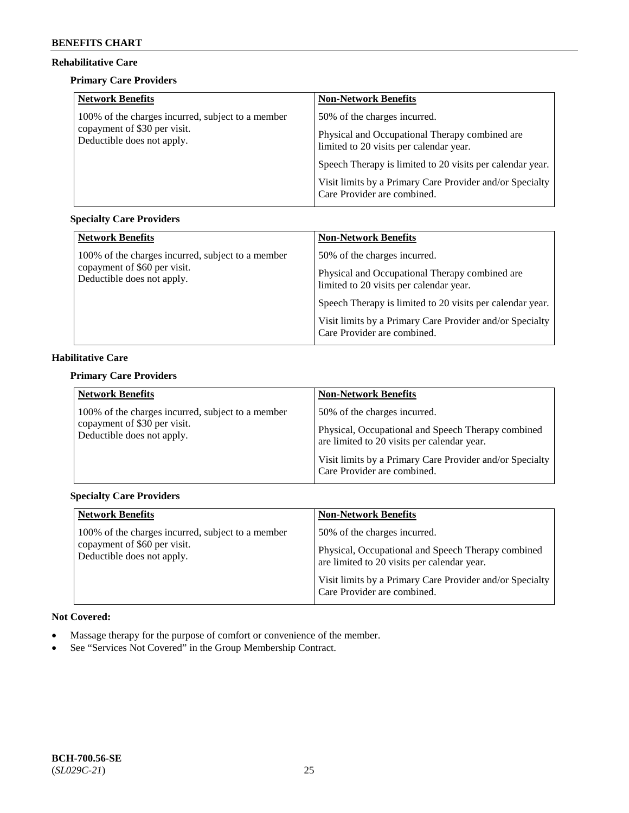## **Rehabilitative Care**

## **Primary Care Providers**

| <b>Network Benefits</b>                                    | <b>Non-Network Benefits</b>                                                               |
|------------------------------------------------------------|-------------------------------------------------------------------------------------------|
| 100% of the charges incurred, subject to a member          | 50% of the charges incurred.                                                              |
| copayment of \$30 per visit.<br>Deductible does not apply. | Physical and Occupational Therapy combined are<br>limited to 20 visits per calendar year. |
|                                                            | Speech Therapy is limited to 20 visits per calendar year.                                 |
|                                                            | Visit limits by a Primary Care Provider and/or Specialty<br>Care Provider are combined.   |

## **Specialty Care Providers**

| <b>Network Benefits</b>                                                           | <b>Non-Network Benefits</b>                                                               |
|-----------------------------------------------------------------------------------|-------------------------------------------------------------------------------------------|
| 100% of the charges incurred, subject to a member<br>copayment of \$60 per visit. | 50% of the charges incurred.                                                              |
| Deductible does not apply.                                                        | Physical and Occupational Therapy combined are<br>limited to 20 visits per calendar year. |
|                                                                                   | Speech Therapy is limited to 20 visits per calendar year.                                 |
|                                                                                   | Visit limits by a Primary Care Provider and/or Specialty<br>Care Provider are combined.   |

## **Habilitative Care**

## **Primary Care Providers**

| <b>Network Benefits</b>                                    | <b>Non-Network Benefits</b>                                                                       |
|------------------------------------------------------------|---------------------------------------------------------------------------------------------------|
| 100% of the charges incurred, subject to a member          | 50% of the charges incurred.                                                                      |
| copayment of \$30 per visit.<br>Deductible does not apply. | Physical, Occupational and Speech Therapy combined<br>are limited to 20 visits per calendar year. |
|                                                            | Visit limits by a Primary Care Provider and/or Specialty<br>Care Provider are combined.           |

## **Specialty Care Providers**

| <b>Network Benefits</b>                                    | <b>Non-Network Benefits</b>                                                                       |
|------------------------------------------------------------|---------------------------------------------------------------------------------------------------|
| 100% of the charges incurred, subject to a member          | 50% of the charges incurred.                                                                      |
| copayment of \$60 per visit.<br>Deductible does not apply. | Physical, Occupational and Speech Therapy combined<br>are limited to 20 visits per calendar year. |
|                                                            | Visit limits by a Primary Care Provider and/or Specialty<br>Care Provider are combined.           |

## **Not Covered:**

- Massage therapy for the purpose of comfort or convenience of the member.
- See "Services Not Covered" in the Group Membership Contract.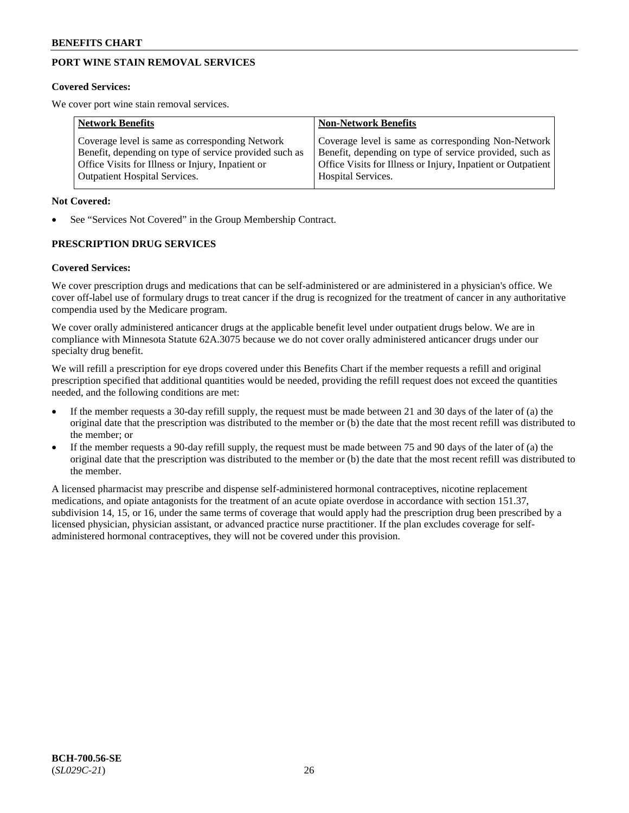## **PORT WINE STAIN REMOVAL SERVICES**

#### **Covered Services:**

We cover port wine stain removal services.

| <b>Network Benefits</b>                                | <b>Non-Network Benefits</b>                                  |
|--------------------------------------------------------|--------------------------------------------------------------|
| Coverage level is same as corresponding Network        | Coverage level is same as corresponding Non-Network          |
| Benefit, depending on type of service provided such as | Benefit, depending on type of service provided, such as      |
| Office Visits for Illness or Injury, Inpatient or      | Office Visits for Illness or Injury, Inpatient or Outpatient |
| <b>Outpatient Hospital Services.</b>                   | <b>Hospital Services.</b>                                    |

### **Not Covered:**

See "Services Not Covered" in the Group Membership Contract.

## **PRESCRIPTION DRUG SERVICES**

### **Covered Services:**

We cover prescription drugs and medications that can be self-administered or are administered in a physician's office. We cover off-label use of formulary drugs to treat cancer if the drug is recognized for the treatment of cancer in any authoritative compendia used by the Medicare program.

We cover orally administered anticancer drugs at the applicable benefit level under outpatient drugs below. We are in compliance with Minnesota Statute 62A.3075 because we do not cover orally administered anticancer drugs under our specialty drug benefit.

We will refill a prescription for eye drops covered under this Benefits Chart if the member requests a refill and original prescription specified that additional quantities would be needed, providing the refill request does not exceed the quantities needed, and the following conditions are met:

- If the member requests a 30-day refill supply, the request must be made between 21 and 30 days of the later of (a) the original date that the prescription was distributed to the member or (b) the date that the most recent refill was distributed to the member; or
- If the member requests a 90-day refill supply, the request must be made between 75 and 90 days of the later of (a) the original date that the prescription was distributed to the member or (b) the date that the most recent refill was distributed to the member.

A licensed pharmacist may prescribe and dispense self-administered hormonal contraceptives, nicotine replacement medications, and opiate antagonists for the treatment of an acute opiate overdose in accordance with section 151.37, subdivision 14, 15, or 16, under the same terms of coverage that would apply had the prescription drug been prescribed by a licensed physician, physician assistant, or advanced practice nurse practitioner. If the plan excludes coverage for selfadministered hormonal contraceptives, they will not be covered under this provision.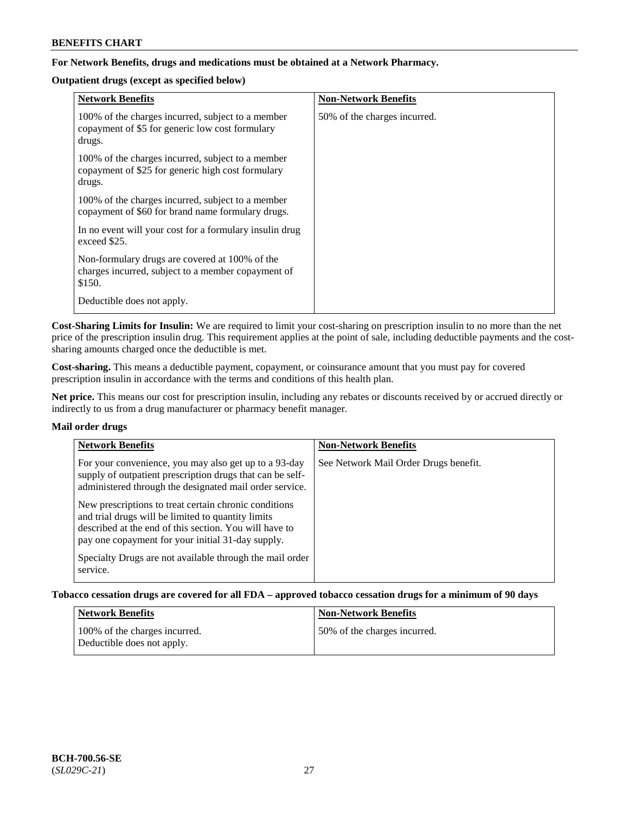## **For Network Benefits, drugs and medications must be obtained at a Network Pharmacy.**

## **Outpatient drugs (except as specified below)**

| <b>Network Benefits</b>                                                                                          | <b>Non-Network Benefits</b>  |
|------------------------------------------------------------------------------------------------------------------|------------------------------|
| 100% of the charges incurred, subject to a member<br>copayment of \$5 for generic low cost formulary<br>drugs.   | 50% of the charges incurred. |
| 100% of the charges incurred, subject to a member<br>copayment of \$25 for generic high cost formulary<br>drugs. |                              |
| 100% of the charges incurred, subject to a member<br>copayment of \$60 for brand name formulary drugs.           |                              |
| In no event will your cost for a formulary insulin drug<br>exceed \$25.                                          |                              |
| Non-formulary drugs are covered at 100% of the<br>charges incurred, subject to a member copayment of<br>\$150.   |                              |
| Deductible does not apply.                                                                                       |                              |

**Cost-Sharing Limits for Insulin:** We are required to limit your cost-sharing on prescription insulin to no more than the net price of the prescription insulin drug. This requirement applies at the point of sale, including deductible payments and the costsharing amounts charged once the deductible is met.

**Cost-sharing.** This means a deductible payment, copayment, or coinsurance amount that you must pay for covered prescription insulin in accordance with the terms and conditions of this health plan.

**Net price.** This means our cost for prescription insulin, including any rebates or discounts received by or accrued directly or indirectly to us from a drug manufacturer or pharmacy benefit manager.

## **Mail order drugs**

| <b>Network Benefits</b>                                                                                                                                                                                                    | <b>Non-Network Benefits</b>           |
|----------------------------------------------------------------------------------------------------------------------------------------------------------------------------------------------------------------------------|---------------------------------------|
| For your convenience, you may also get up to a 93-day<br>supply of outpatient prescription drugs that can be self-<br>administered through the designated mail order service.                                              | See Network Mail Order Drugs benefit. |
| New prescriptions to treat certain chronic conditions<br>and trial drugs will be limited to quantity limits<br>described at the end of this section. You will have to<br>pay one copayment for your initial 31-day supply. |                                       |
| Specialty Drugs are not available through the mail order<br>service.                                                                                                                                                       |                                       |

**Tobacco cessation drugs are covered for all FDA – approved tobacco cessation drugs for a minimum of 90 days**

| <b>Network Benefits</b>                                     | <b>Non-Network Benefits</b>  |
|-------------------------------------------------------------|------------------------------|
| 100% of the charges incurred.<br>Deductible does not apply. | 50% of the charges incurred. |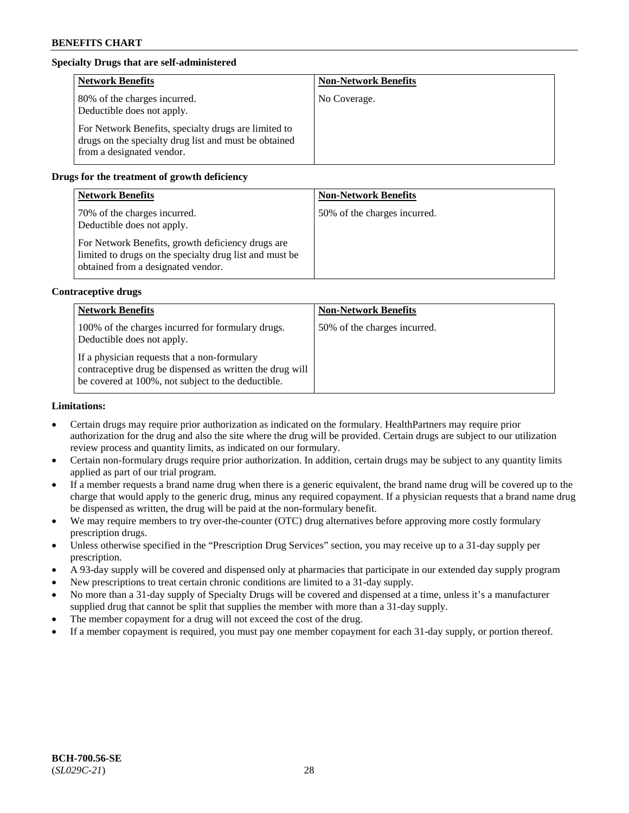## **Specialty Drugs that are self-administered**

| <b>Network Benefits</b>                                                                                                                    | <b>Non-Network Benefits</b> |
|--------------------------------------------------------------------------------------------------------------------------------------------|-----------------------------|
| 80% of the charges incurred.<br>Deductible does not apply.                                                                                 | No Coverage.                |
| For Network Benefits, specialty drugs are limited to<br>drugs on the specialty drug list and must be obtained<br>from a designated vendor. |                             |

## **Drugs for the treatment of growth deficiency**

| <b>Network Benefits</b>                                                                                                                            | <b>Non-Network Benefits</b>  |
|----------------------------------------------------------------------------------------------------------------------------------------------------|------------------------------|
| 70% of the charges incurred.<br>Deductible does not apply.                                                                                         | 50% of the charges incurred. |
| For Network Benefits, growth deficiency drugs are<br>limited to drugs on the specialty drug list and must be<br>obtained from a designated vendor. |                              |

## **Contraceptive drugs**

| <b>Network Benefits</b>                                                                                                                                        | <b>Non-Network Benefits</b>  |
|----------------------------------------------------------------------------------------------------------------------------------------------------------------|------------------------------|
| 100% of the charges incurred for formulary drugs.<br>Deductible does not apply.                                                                                | 50% of the charges incurred. |
| If a physician requests that a non-formulary<br>contraceptive drug be dispensed as written the drug will<br>be covered at 100%, not subject to the deductible. |                              |

## **Limitations:**

- Certain drugs may require prior authorization as indicated on the formulary. HealthPartners may require prior authorization for the drug and also the site where the drug will be provided. Certain drugs are subject to our utilization review process and quantity limits, as indicated on our formulary.
- Certain non-formulary drugs require prior authorization. In addition, certain drugs may be subject to any quantity limits applied as part of our trial program.
- If a member requests a brand name drug when there is a generic equivalent, the brand name drug will be covered up to the charge that would apply to the generic drug, minus any required copayment. If a physician requests that a brand name drug be dispensed as written, the drug will be paid at the non-formulary benefit.
- We may require members to try over-the-counter (OTC) drug alternatives before approving more costly formulary prescription drugs.
- Unless otherwise specified in the "Prescription Drug Services" section, you may receive up to a 31-day supply per prescription.
- A 93-day supply will be covered and dispensed only at pharmacies that participate in our extended day supply program
- New prescriptions to treat certain chronic conditions are limited to a 31-day supply.
- No more than a 31-day supply of Specialty Drugs will be covered and dispensed at a time, unless it's a manufacturer supplied drug that cannot be split that supplies the member with more than a 31-day supply.
- The member copayment for a drug will not exceed the cost of the drug.
- If a member copayment is required, you must pay one member copayment for each 31-day supply, or portion thereof.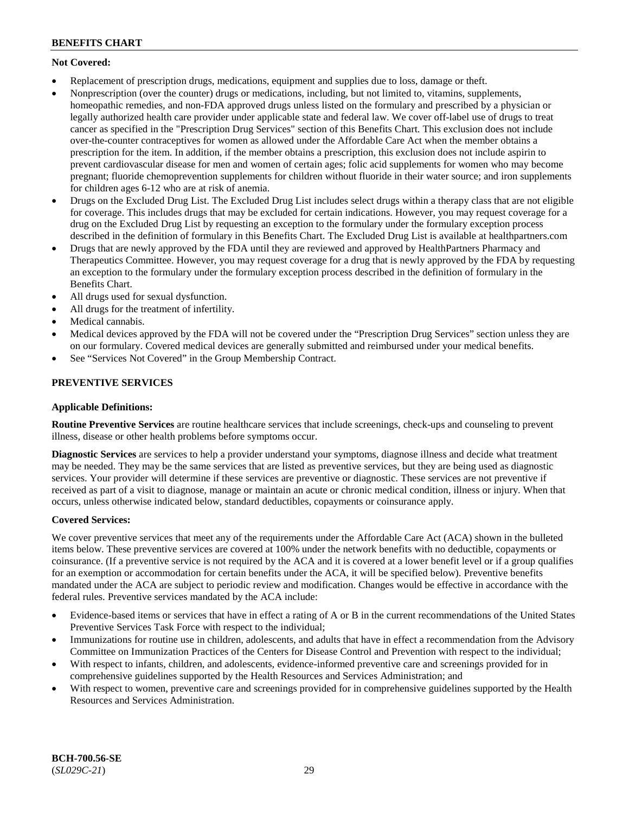## **Not Covered:**

- Replacement of prescription drugs, medications, equipment and supplies due to loss, damage or theft.
- Nonprescription (over the counter) drugs or medications, including, but not limited to, vitamins, supplements, homeopathic remedies, and non-FDA approved drugs unless listed on the formulary and prescribed by a physician or legally authorized health care provider under applicable state and federal law. We cover off-label use of drugs to treat cancer as specified in the "Prescription Drug Services" section of this Benefits Chart. This exclusion does not include over-the-counter contraceptives for women as allowed under the Affordable Care Act when the member obtains a prescription for the item. In addition, if the member obtains a prescription, this exclusion does not include aspirin to prevent cardiovascular disease for men and women of certain ages; folic acid supplements for women who may become pregnant; fluoride chemoprevention supplements for children without fluoride in their water source; and iron supplements for children ages 6-12 who are at risk of anemia.
- Drugs on the Excluded Drug List. The Excluded Drug List includes select drugs within a therapy class that are not eligible for coverage. This includes drugs that may be excluded for certain indications. However, you may request coverage for a drug on the Excluded Drug List by requesting an exception to the formulary under the formulary exception process described in the definition of formulary in this Benefits Chart. The Excluded Drug List is available at [healthpartners.com](http://www.healthpartners.com/)
- Drugs that are newly approved by the FDA until they are reviewed and approved by HealthPartners Pharmacy and Therapeutics Committee. However, you may request coverage for a drug that is newly approved by the FDA by requesting an exception to the formulary under the formulary exception process described in the definition of formulary in the Benefits Chart.
- All drugs used for sexual dysfunction.
- All drugs for the treatment of infertility.
- Medical cannabis.
- Medical devices approved by the FDA will not be covered under the "Prescription Drug Services" section unless they are on our formulary. Covered medical devices are generally submitted and reimbursed under your medical benefits.
- See "Services Not Covered" in the Group Membership Contract.

## **PREVENTIVE SERVICES**

## **Applicable Definitions:**

**Routine Preventive Services** are routine healthcare services that include screenings, check-ups and counseling to prevent illness, disease or other health problems before symptoms occur.

**Diagnostic Services** are services to help a provider understand your symptoms, diagnose illness and decide what treatment may be needed. They may be the same services that are listed as preventive services, but they are being used as diagnostic services. Your provider will determine if these services are preventive or diagnostic. These services are not preventive if received as part of a visit to diagnose, manage or maintain an acute or chronic medical condition, illness or injury. When that occurs, unless otherwise indicated below, standard deductibles, copayments or coinsurance apply.

## **Covered Services:**

We cover preventive services that meet any of the requirements under the Affordable Care Act (ACA) shown in the bulleted items below. These preventive services are covered at 100% under the network benefits with no deductible, copayments or coinsurance. (If a preventive service is not required by the ACA and it is covered at a lower benefit level or if a group qualifies for an exemption or accommodation for certain benefits under the ACA, it will be specified below). Preventive benefits mandated under the ACA are subject to periodic review and modification. Changes would be effective in accordance with the federal rules. Preventive services mandated by the ACA include:

- Evidence-based items or services that have in effect a rating of A or B in the current recommendations of the United States Preventive Services Task Force with respect to the individual;
- Immunizations for routine use in children, adolescents, and adults that have in effect a recommendation from the Advisory Committee on Immunization Practices of the Centers for Disease Control and Prevention with respect to the individual;
- With respect to infants, children, and adolescents, evidence-informed preventive care and screenings provided for in comprehensive guidelines supported by the Health Resources and Services Administration; and
- With respect to women, preventive care and screenings provided for in comprehensive guidelines supported by the Health Resources and Services Administration.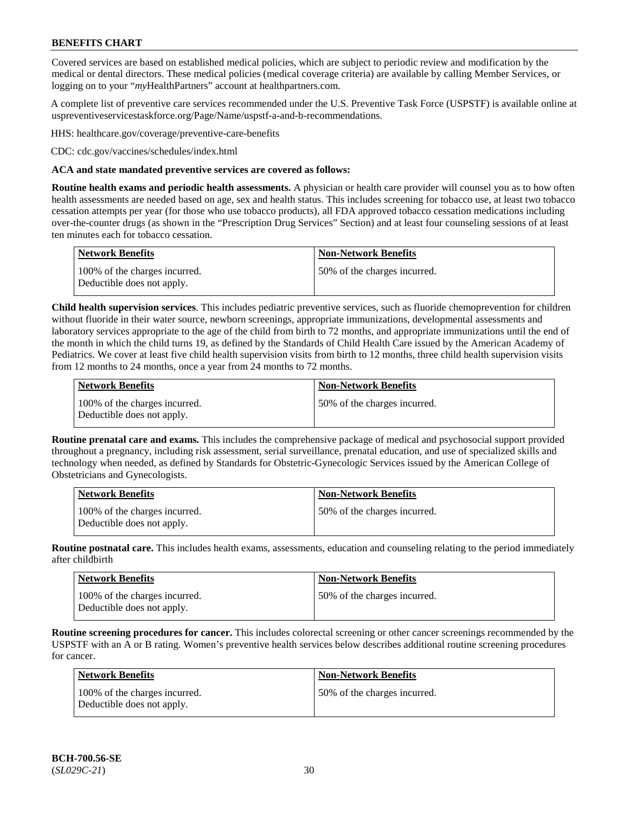Covered services are based on established medical policies, which are subject to periodic review and modification by the medical or dental directors. These medical policies (medical coverage criteria) are available by calling Member Services, or logging on to your "*my*HealthPartners" account at [healthpartners.com.](http://www.healthpartners.com/)

A complete list of preventive care services recommended under the U.S. Preventive Task Force (USPSTF) is available online at [uspreventiveservicestaskforce.org/Page/Name/uspstf-a-and-b-recommendations.](https://www.uspreventiveservicestaskforce.org/Page/Name/uspstf-a-and-b-recommendations-by-date/)

HHS: [healthcare.gov/coverage/preventive-care-benefits](https://www.healthcare.gov/coverage/preventive-care-benefits/)

CDC: [cdc.gov/vaccines/schedules/index.html](https://www.cdc.gov/vaccines/schedules/index.html)

### **ACA and state mandated preventive services are covered as follows:**

**Routine health exams and periodic health assessments.** A physician or health care provider will counsel you as to how often health assessments are needed based on age, sex and health status. This includes screening for tobacco use, at least two tobacco cessation attempts per year (for those who use tobacco products), all FDA approved tobacco cessation medications including over-the-counter drugs (as shown in the "Prescription Drug Services" Section) and at least four counseling sessions of at least ten minutes each for tobacco cessation.

| Network Benefits                                            | <b>Non-Network Benefits</b>  |
|-------------------------------------------------------------|------------------------------|
| 100% of the charges incurred.<br>Deductible does not apply. | 50% of the charges incurred. |

**Child health supervision services**. This includes pediatric preventive services, such as fluoride chemoprevention for children without fluoride in their water source, newborn screenings, appropriate immunizations, developmental assessments and laboratory services appropriate to the age of the child from birth to 72 months, and appropriate immunizations until the end of the month in which the child turns 19, as defined by the Standards of Child Health Care issued by the American Academy of Pediatrics. We cover at least five child health supervision visits from birth to 12 months, three child health supervision visits from 12 months to 24 months, once a year from 24 months to 72 months.

| Network Benefits                                            | <b>Non-Network Benefits</b>  |
|-------------------------------------------------------------|------------------------------|
| 100% of the charges incurred.<br>Deductible does not apply. | 50% of the charges incurred. |

**Routine prenatal care and exams.** This includes the comprehensive package of medical and psychosocial support provided throughout a pregnancy, including risk assessment, serial surveillance, prenatal education, and use of specialized skills and technology when needed, as defined by Standards for Obstetric-Gynecologic Services issued by the American College of Obstetricians and Gynecologists.

| <b>Network Benefits</b>                                     | <b>Non-Network Benefits</b>   |
|-------------------------------------------------------------|-------------------------------|
| 100% of the charges incurred.<br>Deductible does not apply. | 150% of the charges incurred. |

**Routine postnatal care.** This includes health exams, assessments, education and counseling relating to the period immediately after childbirth

| <b>Network Benefits</b>                                     | <b>Non-Network Benefits</b>  |
|-------------------------------------------------------------|------------------------------|
| 100% of the charges incurred.<br>Deductible does not apply. | 50% of the charges incurred. |

**Routine screening procedures for cancer.** This includes colorectal screening or other cancer screenings recommended by the USPSTF with an A or B rating. Women's preventive health services below describes additional routine screening procedures for cancer.

| Network Benefits                                            | <b>Non-Network Benefits</b>  |
|-------------------------------------------------------------|------------------------------|
| 100% of the charges incurred.<br>Deductible does not apply. | 50% of the charges incurred. |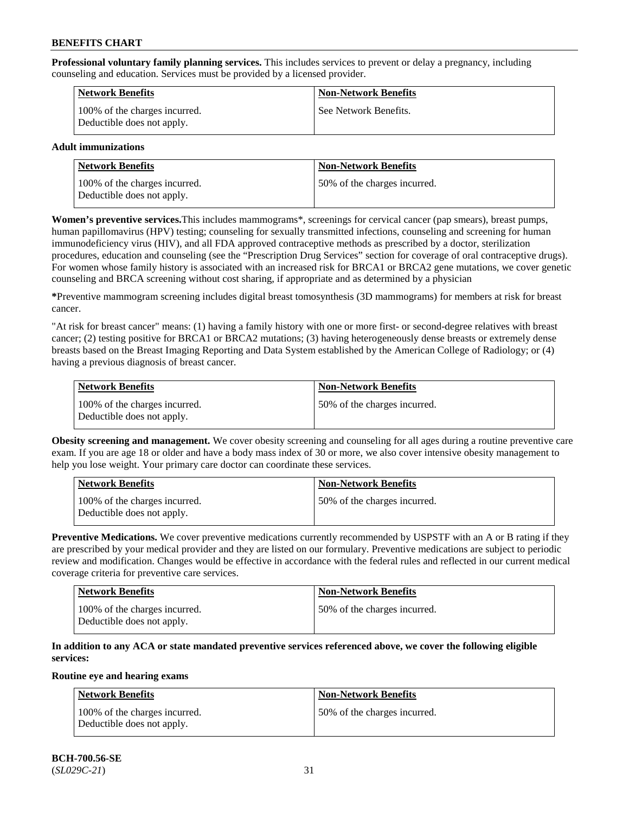**Professional voluntary family planning services.** This includes services to prevent or delay a pregnancy, including counseling and education. Services must be provided by a licensed provider.

| <b>Network Benefits</b>                                     | <b>Non-Network Benefits</b> |
|-------------------------------------------------------------|-----------------------------|
| 100% of the charges incurred.<br>Deductible does not apply. | See Network Benefits.       |

## **Adult immunizations**

| Network Benefits                                            | <b>Non-Network Benefits</b>  |
|-------------------------------------------------------------|------------------------------|
| 100% of the charges incurred.<br>Deductible does not apply. | 50% of the charges incurred. |

**Women's preventive services.**This includes mammograms\*, screenings for cervical cancer (pap smears), breast pumps, human papillomavirus (HPV) testing; counseling for sexually transmitted infections, counseling and screening for human immunodeficiency virus (HIV), and all FDA approved contraceptive methods as prescribed by a doctor, sterilization procedures, education and counseling (see the "Prescription Drug Services" section for coverage of oral contraceptive drugs). For women whose family history is associated with an increased risk for BRCA1 or BRCA2 gene mutations, we cover genetic counseling and BRCA screening without cost sharing, if appropriate and as determined by a physician

**\***Preventive mammogram screening includes digital breast tomosynthesis (3D mammograms) for members at risk for breast cancer.

"At risk for breast cancer" means: (1) having a family history with one or more first- or second-degree relatives with breast cancer; (2) testing positive for BRCA1 or BRCA2 mutations; (3) having heterogeneously dense breasts or extremely dense breasts based on the Breast Imaging Reporting and Data System established by the American College of Radiology; or (4) having a previous diagnosis of breast cancer.

| Network Benefits                                            | <b>Non-Network Benefits</b>  |
|-------------------------------------------------------------|------------------------------|
| 100% of the charges incurred.<br>Deductible does not apply. | 50% of the charges incurred. |

**Obesity screening and management.** We cover obesity screening and counseling for all ages during a routine preventive care exam. If you are age 18 or older and have a body mass index of 30 or more, we also cover intensive obesity management to help you lose weight. Your primary care doctor can coordinate these services.

| Network Benefits                                            | <b>Non-Network Benefits</b>  |
|-------------------------------------------------------------|------------------------------|
| 100% of the charges incurred.<br>Deductible does not apply. | 50% of the charges incurred. |

**Preventive Medications.** We cover preventive medications currently recommended by USPSTF with an A or B rating if they are prescribed by your medical provider and they are listed on our formulary. Preventive medications are subject to periodic review and modification. Changes would be effective in accordance with the federal rules and reflected in our current medical coverage criteria for preventive care services.

| <b>Network Benefits</b>                                     | <b>Non-Network Benefits</b>   |
|-------------------------------------------------------------|-------------------------------|
| 100% of the charges incurred.<br>Deductible does not apply. | 150% of the charges incurred. |

## **In addition to any ACA or state mandated preventive services referenced above, we cover the following eligible services:**

#### **Routine eye and hearing exams**

| <b>Network Benefits</b>                                     | <b>Non-Network Benefits</b>  |
|-------------------------------------------------------------|------------------------------|
| 100% of the charges incurred.<br>Deductible does not apply. | 50% of the charges incurred. |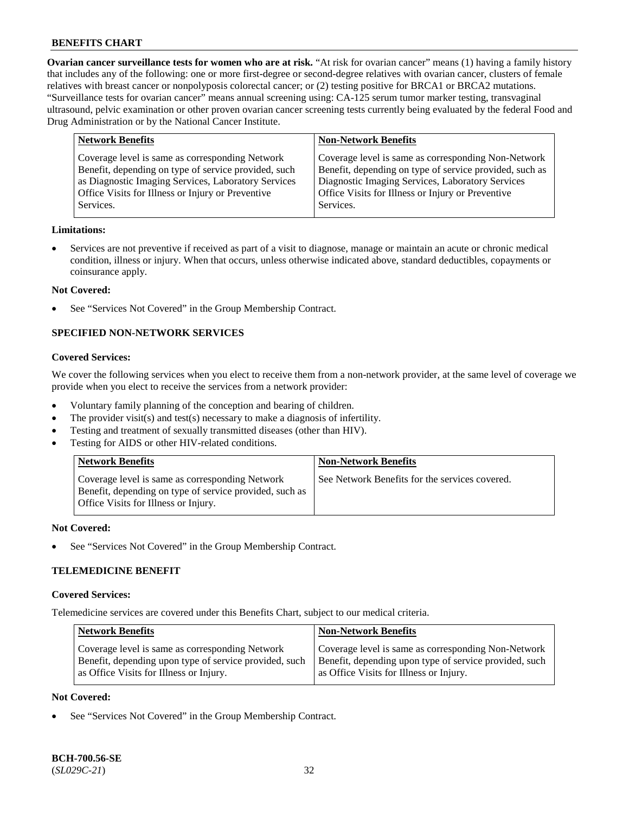**Ovarian cancer surveillance tests for women who are at risk.** "At risk for ovarian cancer" means (1) having a family history that includes any of the following: one or more first-degree or second-degree relatives with ovarian cancer, clusters of female relatives with breast cancer or nonpolyposis colorectal cancer; or (2) testing positive for BRCA1 or BRCA2 mutations. "Surveillance tests for ovarian cancer" means annual screening using: CA-125 serum tumor marker testing, transvaginal ultrasound, pelvic examination or other proven ovarian cancer screening tests currently being evaluated by the federal Food and Drug Administration or by the National Cancer Institute.

| <b>Network Benefits</b>                              | <b>Non-Network Benefits</b>                             |
|------------------------------------------------------|---------------------------------------------------------|
| Coverage level is same as corresponding Network      | Coverage level is same as corresponding Non-Network     |
| Benefit, depending on type of service provided, such | Benefit, depending on type of service provided, such as |
| as Diagnostic Imaging Services, Laboratory Services  | Diagnostic Imaging Services, Laboratory Services        |
| Office Visits for Illness or Injury or Preventive    | Office Visits for Illness or Injury or Preventive       |
| Services.                                            | Services.                                               |

### **Limitations:**

• Services are not preventive if received as part of a visit to diagnose, manage or maintain an acute or chronic medical condition, illness or injury. When that occurs, unless otherwise indicated above, standard deductibles, copayments or coinsurance apply.

### **Not Covered:**

See "Services Not Covered" in the Group Membership Contract.

## **SPECIFIED NON-NETWORK SERVICES**

## **Covered Services:**

We cover the following services when you elect to receive them from a non-network provider, at the same level of coverage we provide when you elect to receive the services from a network provider:

- Voluntary family planning of the conception and bearing of children.
- The provider visit(s) and test(s) necessary to make a diagnosis of infertility.
- Testing and treatment of sexually transmitted diseases (other than HIV).
- Testing for AIDS or other HIV-related conditions.

| <b>Network Benefits</b>                                                                                                                            | <b>Non-Network Benefits</b>                    |
|----------------------------------------------------------------------------------------------------------------------------------------------------|------------------------------------------------|
| Coverage level is same as corresponding Network<br>Benefit, depending on type of service provided, such as<br>Office Visits for Illness or Injury. | See Network Benefits for the services covered. |

#### **Not Covered:**

See "Services Not Covered" in the Group Membership Contract.

## **TELEMEDICINE BENEFIT**

#### **Covered Services:**

Telemedicine services are covered under this Benefits Chart, subject to our medical criteria.

| <b>Network Benefits</b>                                | <b>Non-Network Benefits</b>                            |
|--------------------------------------------------------|--------------------------------------------------------|
| Coverage level is same as corresponding Network        | Coverage level is same as corresponding Non-Network    |
| Benefit, depending upon type of service provided, such | Benefit, depending upon type of service provided, such |
| as Office Visits for Illness or Injury.                | as Office Visits for Illness or Injury.                |

### **Not Covered:**

See "Services Not Covered" in the Group Membership Contract.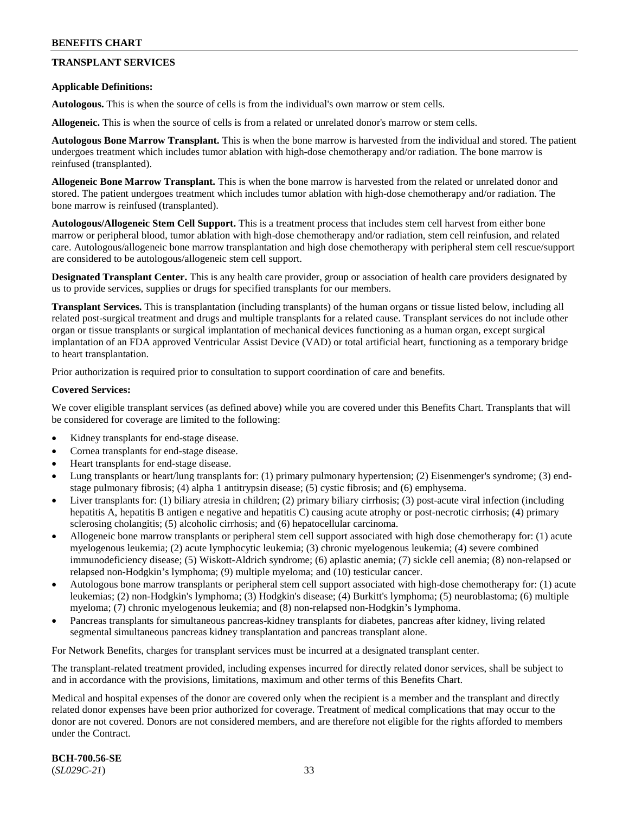## **TRANSPLANT SERVICES**

### **Applicable Definitions:**

**Autologous.** This is when the source of cells is from the individual's own marrow or stem cells.

**Allogeneic.** This is when the source of cells is from a related or unrelated donor's marrow or stem cells.

**Autologous Bone Marrow Transplant.** This is when the bone marrow is harvested from the individual and stored. The patient undergoes treatment which includes tumor ablation with high-dose chemotherapy and/or radiation. The bone marrow is reinfused (transplanted).

**Allogeneic Bone Marrow Transplant.** This is when the bone marrow is harvested from the related or unrelated donor and stored. The patient undergoes treatment which includes tumor ablation with high-dose chemotherapy and/or radiation. The bone marrow is reinfused (transplanted).

**Autologous/Allogeneic Stem Cell Support.** This is a treatment process that includes stem cell harvest from either bone marrow or peripheral blood, tumor ablation with high-dose chemotherapy and/or radiation, stem cell reinfusion, and related care. Autologous/allogeneic bone marrow transplantation and high dose chemotherapy with peripheral stem cell rescue/support are considered to be autologous/allogeneic stem cell support.

**Designated Transplant Center.** This is any health care provider, group or association of health care providers designated by us to provide services, supplies or drugs for specified transplants for our members.

**Transplant Services.** This is transplantation (including transplants) of the human organs or tissue listed below, including all related post-surgical treatment and drugs and multiple transplants for a related cause. Transplant services do not include other organ or tissue transplants or surgical implantation of mechanical devices functioning as a human organ, except surgical implantation of an FDA approved Ventricular Assist Device (VAD) or total artificial heart, functioning as a temporary bridge to heart transplantation.

Prior authorization is required prior to consultation to support coordination of care and benefits.

### **Covered Services:**

We cover eligible transplant services (as defined above) while you are covered under this Benefits Chart. Transplants that will be considered for coverage are limited to the following:

- Kidney transplants for end-stage disease.
- Cornea transplants for end-stage disease.
- Heart transplants for end-stage disease.
- Lung transplants or heart/lung transplants for: (1) primary pulmonary hypertension; (2) Eisenmenger's syndrome; (3) endstage pulmonary fibrosis; (4) alpha 1 antitrypsin disease; (5) cystic fibrosis; and (6) emphysema.
- Liver transplants for: (1) biliary atresia in children; (2) primary biliary cirrhosis; (3) post-acute viral infection (including hepatitis A, hepatitis B antigen e negative and hepatitis C) causing acute atrophy or post-necrotic cirrhosis; (4) primary sclerosing cholangitis; (5) alcoholic cirrhosis; and (6) hepatocellular carcinoma.
- Allogeneic bone marrow transplants or peripheral stem cell support associated with high dose chemotherapy for: (1) acute myelogenous leukemia; (2) acute lymphocytic leukemia; (3) chronic myelogenous leukemia; (4) severe combined immunodeficiency disease; (5) Wiskott-Aldrich syndrome; (6) aplastic anemia; (7) sickle cell anemia; (8) non-relapsed or relapsed non-Hodgkin's lymphoma; (9) multiple myeloma; and (10) testicular cancer.
- Autologous bone marrow transplants or peripheral stem cell support associated with high-dose chemotherapy for: (1) acute leukemias; (2) non-Hodgkin's lymphoma; (3) Hodgkin's disease; (4) Burkitt's lymphoma; (5) neuroblastoma; (6) multiple myeloma; (7) chronic myelogenous leukemia; and (8) non-relapsed non-Hodgkin's lymphoma.
- Pancreas transplants for simultaneous pancreas-kidney transplants for diabetes, pancreas after kidney, living related segmental simultaneous pancreas kidney transplantation and pancreas transplant alone.

For Network Benefits, charges for transplant services must be incurred at a designated transplant center.

The transplant-related treatment provided, including expenses incurred for directly related donor services, shall be subject to and in accordance with the provisions, limitations, maximum and other terms of this Benefits Chart.

Medical and hospital expenses of the donor are covered only when the recipient is a member and the transplant and directly related donor expenses have been prior authorized for coverage. Treatment of medical complications that may occur to the donor are not covered. Donors are not considered members, and are therefore not eligible for the rights afforded to members under the Contract.